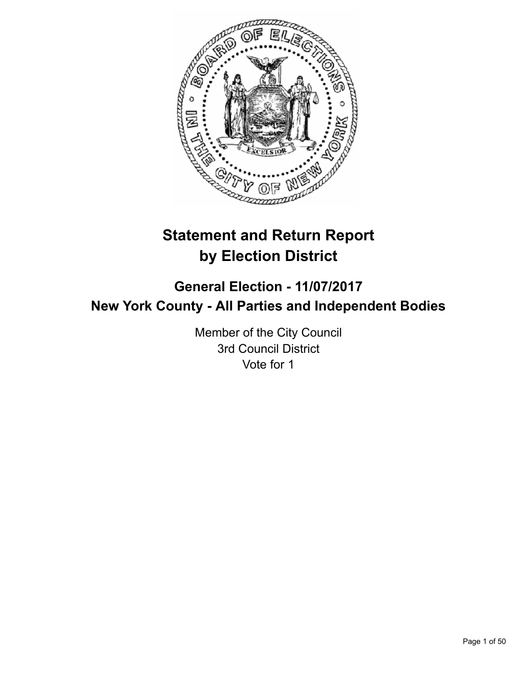

# **Statement and Return Report by Election District**

# **General Election - 11/07/2017 New York County - All Parties and Independent Bodies**

Member of the City Council 3rd Council District Vote for 1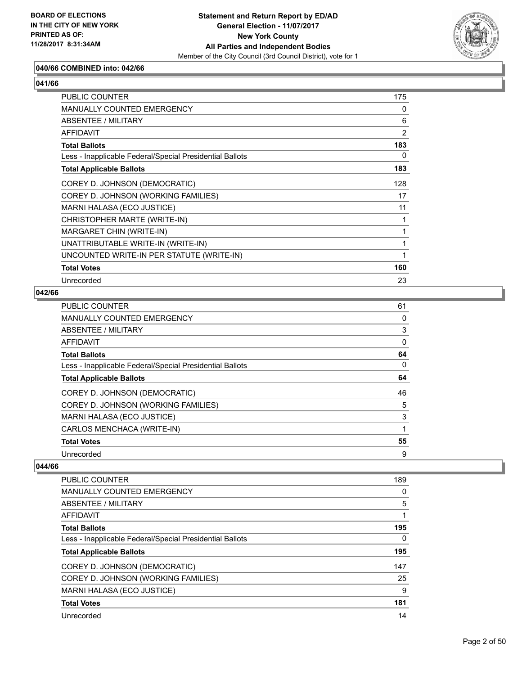

# **040/66 COMBINED into: 042/66**

# **041/66**

| PUBLIC COUNTER                                           | 175            |
|----------------------------------------------------------|----------------|
| <b>MANUALLY COUNTED EMERGENCY</b>                        | 0              |
| ABSENTEE / MILITARY                                      | 6              |
| <b>AFFIDAVIT</b>                                         | $\overline{2}$ |
| <b>Total Ballots</b>                                     | 183            |
| Less - Inapplicable Federal/Special Presidential Ballots | 0              |
| <b>Total Applicable Ballots</b>                          | 183            |
| COREY D. JOHNSON (DEMOCRATIC)                            | 128            |
| COREY D. JOHNSON (WORKING FAMILIES)                      | 17             |
| MARNI HALASA (ECO JUSTICE)                               | 11             |
| CHRISTOPHER MARTE (WRITE-IN)                             | 1              |
| MARGARET CHIN (WRITE-IN)                                 | 1              |
| UNATTRIBUTABLE WRITE-IN (WRITE-IN)                       | 1              |
| UNCOUNTED WRITE-IN PER STATUTE (WRITE-IN)                | 1              |
| <b>Total Votes</b>                                       | 160            |
| Unrecorded                                               | 23             |

## **042/66**

| PUBLIC COUNTER                                           | 61 |
|----------------------------------------------------------|----|
| <b>MANUALLY COUNTED EMERGENCY</b>                        | 0  |
| <b>ABSENTEE / MILITARY</b>                               | 3  |
| AFFIDAVIT                                                | 0  |
| <b>Total Ballots</b>                                     | 64 |
| Less - Inapplicable Federal/Special Presidential Ballots | 0  |
| <b>Total Applicable Ballots</b>                          | 64 |
| COREY D. JOHNSON (DEMOCRATIC)                            | 46 |
| COREY D. JOHNSON (WORKING FAMILIES)                      | 5  |
| MARNI HALASA (ECO JUSTICE)                               | 3  |
| CARLOS MENCHACA (WRITE-IN)                               | 1  |
| <b>Total Votes</b>                                       | 55 |
| Unrecorded                                               | 9  |

| PUBLIC COUNTER                                           | 189 |
|----------------------------------------------------------|-----|
| <b>MANUALLY COUNTED EMERGENCY</b>                        | 0   |
| ABSENTEE / MILITARY                                      | 5   |
| AFFIDAVIT                                                |     |
| <b>Total Ballots</b>                                     | 195 |
| Less - Inapplicable Federal/Special Presidential Ballots | 0   |
| <b>Total Applicable Ballots</b>                          | 195 |
| COREY D. JOHNSON (DEMOCRATIC)                            | 147 |
| COREY D. JOHNSON (WORKING FAMILIES)                      | 25  |
| MARNI HALASA (ECO JUSTICE)                               | 9   |
| <b>Total Votes</b>                                       | 181 |
| Unrecorded                                               | 14  |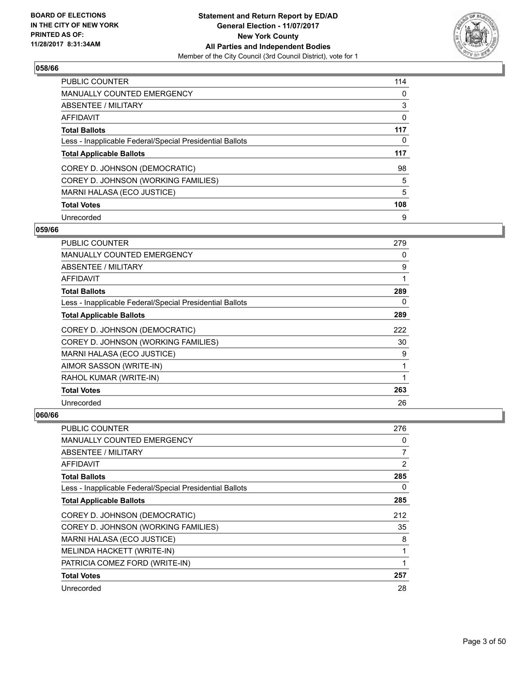

| <b>PUBLIC COUNTER</b>                                    | 114 |
|----------------------------------------------------------|-----|
| <b>MANUALLY COUNTED EMERGENCY</b>                        | 0   |
| ABSENTEE / MILITARY                                      | 3   |
| <b>AFFIDAVIT</b>                                         | 0   |
| <b>Total Ballots</b>                                     | 117 |
| Less - Inapplicable Federal/Special Presidential Ballots | 0   |
| <b>Total Applicable Ballots</b>                          | 117 |
| COREY D. JOHNSON (DEMOCRATIC)                            | 98  |
| COREY D. JOHNSON (WORKING FAMILIES)                      | 5   |
| MARNI HALASA (ECO JUSTICE)                               | 5   |
| <b>Total Votes</b>                                       | 108 |
|                                                          |     |

#### **059/66**

| PUBLIC COUNTER                                           | 279 |
|----------------------------------------------------------|-----|
| MANUALLY COUNTED EMERGENCY                               | 0   |
| ABSENTEE / MILITARY                                      | 9   |
| <b>AFFIDAVIT</b>                                         | 1   |
| <b>Total Ballots</b>                                     | 289 |
| Less - Inapplicable Federal/Special Presidential Ballots | 0   |
| <b>Total Applicable Ballots</b>                          | 289 |
| COREY D. JOHNSON (DEMOCRATIC)                            | 222 |
| COREY D. JOHNSON (WORKING FAMILIES)                      | 30  |
| MARNI HALASA (ECO JUSTICE)                               | 9   |
| AIMOR SASSON (WRITE-IN)                                  | 1   |
| RAHOL KUMAR (WRITE-IN)                                   | 1   |
| <b>Total Votes</b>                                       | 263 |
| Unrecorded                                               | 26  |

| <b>PUBLIC COUNTER</b>                                    | 276            |
|----------------------------------------------------------|----------------|
| <b>MANUALLY COUNTED EMERGENCY</b>                        | 0              |
| ABSENTEE / MILITARY                                      | 7              |
| AFFIDAVIT                                                | $\overline{2}$ |
| <b>Total Ballots</b>                                     | 285            |
| Less - Inapplicable Federal/Special Presidential Ballots | 0              |
| <b>Total Applicable Ballots</b>                          | 285            |
| COREY D. JOHNSON (DEMOCRATIC)                            | 212            |
| COREY D. JOHNSON (WORKING FAMILIES)                      | 35             |
| MARNI HALASA (ECO JUSTICE)                               | 8              |
| MELINDA HACKETT (WRITE-IN)                               |                |
| PATRICIA COMEZ FORD (WRITE-IN)                           | 4              |
| <b>Total Votes</b>                                       | 257            |
| Unrecorded                                               | 28             |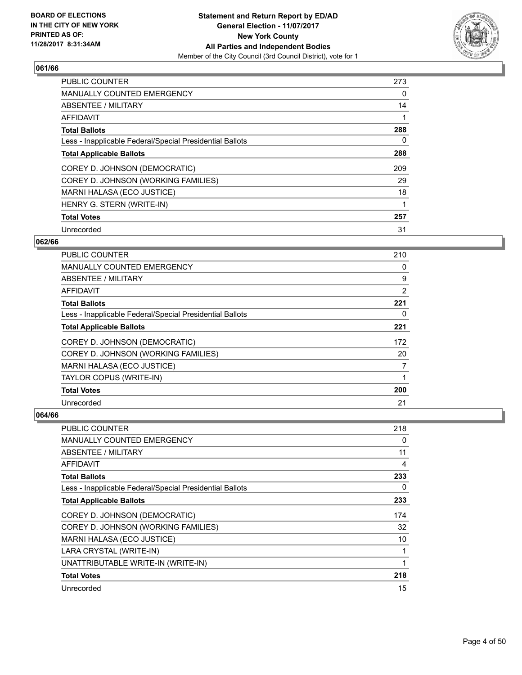

| <b>PUBLIC COUNTER</b>                                    | 273 |
|----------------------------------------------------------|-----|
| <b>MANUALLY COUNTED EMERGENCY</b>                        | 0   |
| ABSENTEE / MILITARY                                      | 14  |
| <b>AFFIDAVIT</b>                                         |     |
| <b>Total Ballots</b>                                     | 288 |
| Less - Inapplicable Federal/Special Presidential Ballots | 0   |
| <b>Total Applicable Ballots</b>                          | 288 |
| COREY D. JOHNSON (DEMOCRATIC)                            | 209 |
| COREY D. JOHNSON (WORKING FAMILIES)                      | 29  |
| MARNI HALASA (ECO JUSTICE)                               | 18  |
| HENRY G. STERN (WRITE-IN)                                |     |
| <b>Total Votes</b>                                       | 257 |
| Unrecorded                                               | 31  |

# **062/66**

| <b>PUBLIC COUNTER</b>                                    | 210 |
|----------------------------------------------------------|-----|
| <b>MANUALLY COUNTED EMERGENCY</b>                        | 0   |
| ABSENTEE / MILITARY                                      | 9   |
| AFFIDAVIT                                                | 2   |
| <b>Total Ballots</b>                                     | 221 |
| Less - Inapplicable Federal/Special Presidential Ballots | 0   |
| <b>Total Applicable Ballots</b>                          | 221 |
| COREY D. JOHNSON (DEMOCRATIC)                            | 172 |
| COREY D. JOHNSON (WORKING FAMILIES)                      | 20  |
| MARNI HALASA (ECO JUSTICE)                               | 7   |
| TAYLOR COPUS (WRITE-IN)                                  |     |
| <b>Total Votes</b>                                       | 200 |
| Unrecorded                                               | 21  |

| <b>PUBLIC COUNTER</b>                                    | 218 |
|----------------------------------------------------------|-----|
| <b>MANUALLY COUNTED EMERGENCY</b>                        | 0   |
| ABSENTEE / MILITARY                                      | 11  |
| AFFIDAVIT                                                | 4   |
| <b>Total Ballots</b>                                     | 233 |
| Less - Inapplicable Federal/Special Presidential Ballots | 0   |
| <b>Total Applicable Ballots</b>                          | 233 |
| COREY D. JOHNSON (DEMOCRATIC)                            | 174 |
| COREY D. JOHNSON (WORKING FAMILIES)                      | 32  |
| MARNI HALASA (ECO JUSTICE)                               | 10  |
| LARA CRYSTAL (WRITE-IN)                                  |     |
| UNATTRIBUTABLE WRITE-IN (WRITE-IN)                       | 1   |
| <b>Total Votes</b>                                       | 218 |
| Unrecorded                                               | 15  |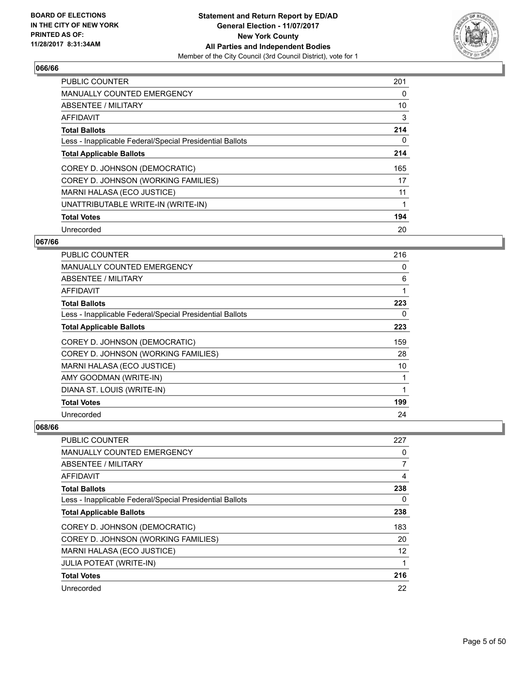

| <b>PUBLIC COUNTER</b>                                    | 201 |
|----------------------------------------------------------|-----|
| MANUALLY COUNTED EMERGENCY                               | 0   |
| ABSENTEE / MILITARY                                      | 10  |
| AFFIDAVIT                                                | 3   |
| <b>Total Ballots</b>                                     | 214 |
| Less - Inapplicable Federal/Special Presidential Ballots | 0   |
| <b>Total Applicable Ballots</b>                          | 214 |
| COREY D. JOHNSON (DEMOCRATIC)                            | 165 |
| COREY D. JOHNSON (WORKING FAMILIES)                      | 17  |
| MARNI HALASA (ECO JUSTICE)                               | 11  |
| UNATTRIBUTABLE WRITE-IN (WRITE-IN)                       | 1   |
| <b>Total Votes</b>                                       | 194 |
| Unrecorded                                               | 20  |

# **067/66**

| PUBLIC COUNTER                                           | 216 |
|----------------------------------------------------------|-----|
| <b>MANUALLY COUNTED EMERGENCY</b>                        | 0   |
| ABSENTEE / MILITARY                                      | 6   |
| <b>AFFIDAVIT</b>                                         | 1   |
| <b>Total Ballots</b>                                     | 223 |
| Less - Inapplicable Federal/Special Presidential Ballots | 0   |
| <b>Total Applicable Ballots</b>                          | 223 |
| COREY D. JOHNSON (DEMOCRATIC)                            | 159 |
| COREY D. JOHNSON (WORKING FAMILIES)                      | 28  |
| MARNI HALASA (ECO JUSTICE)                               | 10  |
| AMY GOODMAN (WRITE-IN)                                   |     |
| DIANA ST. LOUIS (WRITE-IN)                               | 1   |
| <b>Total Votes</b>                                       | 199 |
| Unrecorded                                               | 24  |

| <b>PUBLIC COUNTER</b>                                    | 227 |
|----------------------------------------------------------|-----|
| MANUALLY COUNTED EMERGENCY                               | 0   |
| ABSENTEE / MILITARY                                      | 7   |
| AFFIDAVIT                                                | 4   |
| <b>Total Ballots</b>                                     | 238 |
| Less - Inapplicable Federal/Special Presidential Ballots | 0   |
| <b>Total Applicable Ballots</b>                          | 238 |
| COREY D. JOHNSON (DEMOCRATIC)                            | 183 |
| COREY D. JOHNSON (WORKING FAMILIES)                      | 20  |
| MARNI HALASA (ECO JUSTICE)                               | 12  |
| <b>JULIA POTEAT (WRITE-IN)</b>                           |     |
| <b>Total Votes</b>                                       | 216 |
| Unrecorded                                               | 22  |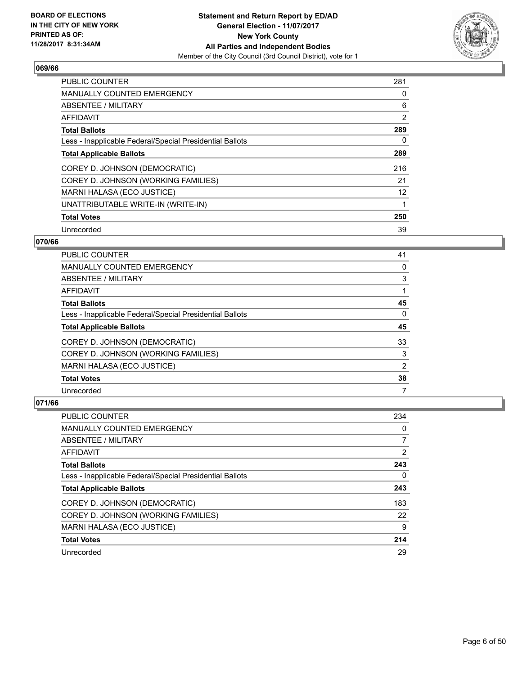

| <b>PUBLIC COUNTER</b>                                    | 281 |
|----------------------------------------------------------|-----|
| <b>MANUALLY COUNTED EMERGENCY</b>                        | 0   |
| ABSENTEE / MILITARY                                      | 6   |
| <b>AFFIDAVIT</b>                                         | 2   |
| <b>Total Ballots</b>                                     | 289 |
| Less - Inapplicable Federal/Special Presidential Ballots | 0   |
| <b>Total Applicable Ballots</b>                          | 289 |
| COREY D. JOHNSON (DEMOCRATIC)                            | 216 |
| COREY D. JOHNSON (WORKING FAMILIES)                      | 21  |
| MARNI HALASA (ECO JUSTICE)                               | 12  |
| UNATTRIBUTABLE WRITE-IN (WRITE-IN)                       | 1   |
| <b>Total Votes</b>                                       | 250 |
| Unrecorded                                               | 39  |

# **070/66**

| <b>PUBLIC COUNTER</b>                                    | 41 |
|----------------------------------------------------------|----|
| <b>MANUALLY COUNTED EMERGENCY</b>                        | 0  |
| ABSENTEE / MILITARY                                      | 3  |
| AFFIDAVIT                                                |    |
| <b>Total Ballots</b>                                     | 45 |
| Less - Inapplicable Federal/Special Presidential Ballots | 0  |
| <b>Total Applicable Ballots</b>                          | 45 |
| COREY D. JOHNSON (DEMOCRATIC)                            | 33 |
| COREY D. JOHNSON (WORKING FAMILIES)                      | 3  |
| MARNI HALASA (ECO JUSTICE)                               | 2  |
| <b>Total Votes</b>                                       | 38 |
| Unrecorded                                               | 7  |

| PUBLIC COUNTER                                           | 234 |
|----------------------------------------------------------|-----|
| <b>MANUALLY COUNTED EMERGENCY</b>                        | 0   |
| ABSENTEE / MILITARY                                      | 7   |
| AFFIDAVIT                                                | 2   |
| <b>Total Ballots</b>                                     | 243 |
| Less - Inapplicable Federal/Special Presidential Ballots | 0   |
| <b>Total Applicable Ballots</b>                          | 243 |
| COREY D. JOHNSON (DEMOCRATIC)                            | 183 |
| COREY D. JOHNSON (WORKING FAMILIES)                      | 22  |
| MARNI HALASA (ECO JUSTICE)                               | 9   |
| <b>Total Votes</b>                                       | 214 |
| Unrecorded                                               | 29  |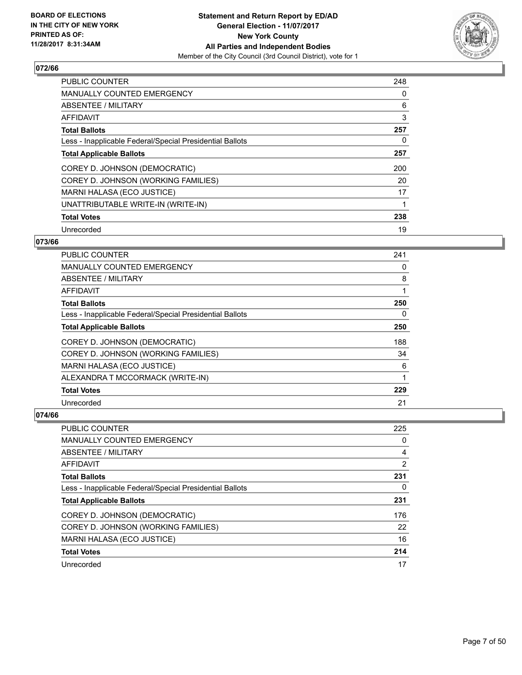

| <b>PUBLIC COUNTER</b>                                    | 248 |
|----------------------------------------------------------|-----|
| <b>MANUALLY COUNTED EMERGENCY</b>                        | 0   |
| ABSENTEE / MILITARY                                      | 6   |
| <b>AFFIDAVIT</b>                                         | 3   |
| <b>Total Ballots</b>                                     | 257 |
| Less - Inapplicable Federal/Special Presidential Ballots | 0   |
| <b>Total Applicable Ballots</b>                          | 257 |
| COREY D. JOHNSON (DEMOCRATIC)                            | 200 |
| COREY D. JOHNSON (WORKING FAMILIES)                      | 20  |
| <b>MARNI HALASA (ECO JUSTICE)</b>                        | 17  |
| UNATTRIBUTABLE WRITE-IN (WRITE-IN)                       |     |
| <b>Total Votes</b>                                       | 238 |
| Unrecorded                                               | 19  |

# **073/66**

| <b>PUBLIC COUNTER</b>                                    | 241 |
|----------------------------------------------------------|-----|
| MANUALLY COUNTED EMERGENCY                               | 0   |
| ABSENTEE / MILITARY                                      | 8   |
| AFFIDAVIT                                                |     |
| <b>Total Ballots</b>                                     | 250 |
| Less - Inapplicable Federal/Special Presidential Ballots | 0   |
| <b>Total Applicable Ballots</b>                          | 250 |
| COREY D. JOHNSON (DEMOCRATIC)                            | 188 |
| COREY D. JOHNSON (WORKING FAMILIES)                      | 34  |
| MARNI HALASA (ECO JUSTICE)                               | 6   |
| ALEXANDRA T MCCORMACK (WRITE-IN)                         | 1   |
| <b>Total Votes</b>                                       | 229 |
| Unrecorded                                               | 21  |

| PUBLIC COUNTER                                           | 225            |
|----------------------------------------------------------|----------------|
| <b>MANUALLY COUNTED EMERGENCY</b>                        | 0              |
| ABSENTEE / MILITARY                                      | 4              |
| AFFIDAVIT                                                | $\overline{2}$ |
| <b>Total Ballots</b>                                     | 231            |
| Less - Inapplicable Federal/Special Presidential Ballots | 0              |
| <b>Total Applicable Ballots</b>                          | 231            |
| COREY D. JOHNSON (DEMOCRATIC)                            | 176            |
| COREY D. JOHNSON (WORKING FAMILIES)                      | 22             |
| MARNI HALASA (ECO JUSTICE)                               | 16             |
| <b>Total Votes</b>                                       | 214            |
| Unrecorded                                               | 17             |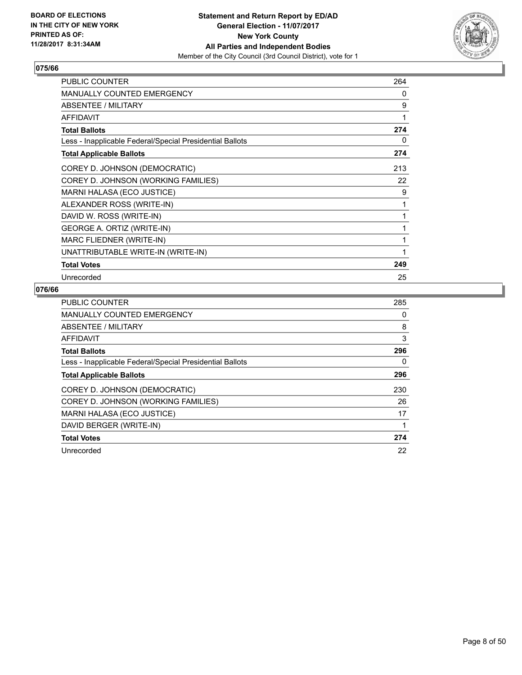

| <b>PUBLIC COUNTER</b>                                    | 264 |
|----------------------------------------------------------|-----|
| <b>MANUALLY COUNTED EMERGENCY</b>                        | 0   |
| <b>ABSENTEE / MILITARY</b>                               | 9   |
| <b>AFFIDAVIT</b>                                         | 1   |
| <b>Total Ballots</b>                                     | 274 |
| Less - Inapplicable Federal/Special Presidential Ballots | 0   |
| <b>Total Applicable Ballots</b>                          | 274 |
| COREY D. JOHNSON (DEMOCRATIC)                            | 213 |
| COREY D. JOHNSON (WORKING FAMILIES)                      | 22  |
| MARNI HALASA (ECO JUSTICE)                               | 9   |
| ALEXANDER ROSS (WRITE-IN)                                | 1   |
| DAVID W. ROSS (WRITE-IN)                                 | 1   |
| GEORGE A. ORTIZ (WRITE-IN)                               | 1   |
| MARC FLIEDNER (WRITE-IN)                                 | 1   |
| UNATTRIBUTABLE WRITE-IN (WRITE-IN)                       |     |
| <b>Total Votes</b>                                       | 249 |
| Unrecorded                                               | 25  |

| <b>PUBLIC COUNTER</b>                                    | 285 |
|----------------------------------------------------------|-----|
| MANUALLY COUNTED EMERGENCY                               | 0   |
| ABSENTEE / MILITARY                                      | 8   |
| AFFIDAVIT                                                | 3   |
| <b>Total Ballots</b>                                     | 296 |
| Less - Inapplicable Federal/Special Presidential Ballots | 0   |
| <b>Total Applicable Ballots</b>                          | 296 |
| COREY D. JOHNSON (DEMOCRATIC)                            | 230 |
| COREY D. JOHNSON (WORKING FAMILIES)                      | 26  |
| MARNI HALASA (ECO JUSTICE)                               | 17  |
| DAVID BERGER (WRITE-IN)                                  | 1   |
| <b>Total Votes</b>                                       | 274 |
| Unrecorded                                               | 22  |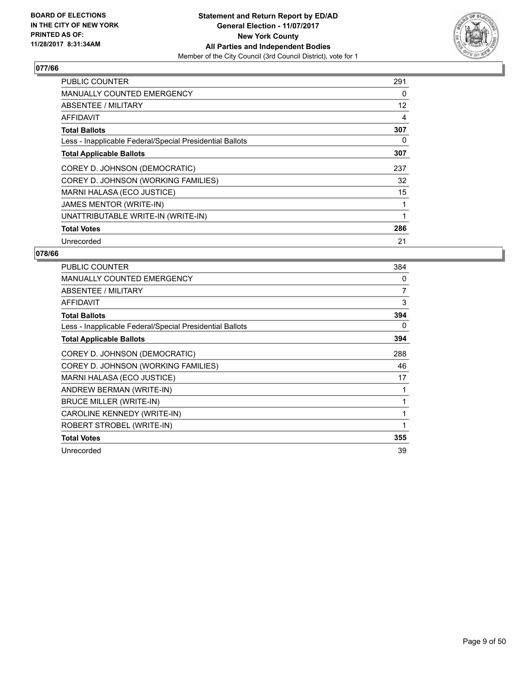

| <b>PUBLIC COUNTER</b>                                    | 291 |
|----------------------------------------------------------|-----|
| <b>MANUALLY COUNTED EMERGENCY</b>                        | 0   |
| ABSENTEE / MILITARY                                      | 12  |
| AFFIDAVIT                                                | 4   |
| <b>Total Ballots</b>                                     | 307 |
| Less - Inapplicable Federal/Special Presidential Ballots | 0   |
| <b>Total Applicable Ballots</b>                          | 307 |
| COREY D. JOHNSON (DEMOCRATIC)                            | 237 |
| COREY D. JOHNSON (WORKING FAMILIES)                      | 32  |
| MARNI HALASA (ECO JUSTICE)                               | 15  |
| JAMES MENTOR (WRITE-IN)                                  |     |
| UNATTRIBUTABLE WRITE-IN (WRITE-IN)                       |     |
| <b>Total Votes</b>                                       | 286 |
| Unrecorded                                               | 21  |

| <b>PUBLIC COUNTER</b>                                    | 384          |
|----------------------------------------------------------|--------------|
| <b>MANUALLY COUNTED EMERGENCY</b>                        | 0            |
| ABSENTEE / MILITARY                                      | 7            |
| <b>AFFIDAVIT</b>                                         | 3            |
| <b>Total Ballots</b>                                     | 394          |
| Less - Inapplicable Federal/Special Presidential Ballots | 0            |
| <b>Total Applicable Ballots</b>                          | 394          |
| COREY D. JOHNSON (DEMOCRATIC)                            | 288          |
| COREY D. JOHNSON (WORKING FAMILIES)                      | 46           |
| <b>MARNI HALASA (ECO JUSTICE)</b>                        | 17           |
| ANDREW BERMAN (WRITE-IN)                                 |              |
| <b>BRUCE MILLER (WRITE-IN)</b>                           | 1            |
| CAROLINE KENNEDY (WRITE-IN)                              | 1            |
| ROBERT STROBEL (WRITE-IN)                                | $\mathbf{1}$ |
| <b>Total Votes</b>                                       | 355          |
| Unrecorded                                               | 39           |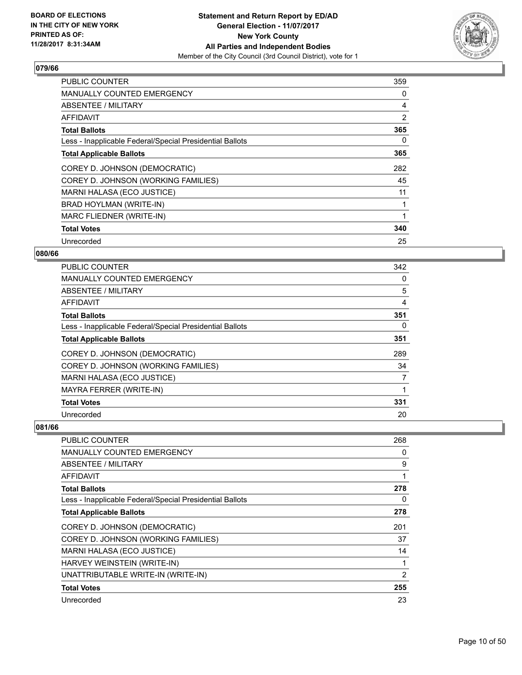

| <b>PUBLIC COUNTER</b>                                    | 359 |
|----------------------------------------------------------|-----|
| <b>MANUALLY COUNTED EMERGENCY</b>                        | 0   |
| <b>ABSENTEE / MILITARY</b>                               | 4   |
| AFFIDAVIT                                                | 2   |
| <b>Total Ballots</b>                                     | 365 |
| Less - Inapplicable Federal/Special Presidential Ballots | 0   |
| <b>Total Applicable Ballots</b>                          | 365 |
| COREY D. JOHNSON (DEMOCRATIC)                            | 282 |
| COREY D. JOHNSON (WORKING FAMILIES)                      | 45  |
| MARNI HALASA (ECO JUSTICE)                               | 11  |
| BRAD HOYLMAN (WRITE-IN)                                  |     |
| MARC FLIEDNER (WRITE-IN)                                 |     |
| <b>Total Votes</b>                                       | 340 |
| Unrecorded                                               | 25  |

# **080/66**

| <b>PUBLIC COUNTER</b>                                    | 342 |
|----------------------------------------------------------|-----|
| MANUALLY COUNTED EMERGENCY                               | 0   |
| ABSENTEE / MILITARY                                      | 5   |
| AFFIDAVIT                                                | 4   |
| <b>Total Ballots</b>                                     | 351 |
| Less - Inapplicable Federal/Special Presidential Ballots | 0   |
| <b>Total Applicable Ballots</b>                          | 351 |
| COREY D. JOHNSON (DEMOCRATIC)                            | 289 |
| COREY D. JOHNSON (WORKING FAMILIES)                      | 34  |
| MARNI HALASA (ECO JUSTICE)                               | 7   |
| MAYRA FERRER (WRITE-IN)                                  | 1   |
| <b>Total Votes</b>                                       | 331 |
| Unrecorded                                               | 20  |

| <b>PUBLIC COUNTER</b>                                    | 268 |
|----------------------------------------------------------|-----|
| <b>MANUALLY COUNTED EMERGENCY</b>                        | 0   |
| ABSENTEE / MILITARY                                      | 9   |
| <b>AFFIDAVIT</b>                                         | 1   |
| <b>Total Ballots</b>                                     | 278 |
| Less - Inapplicable Federal/Special Presidential Ballots | 0   |
| <b>Total Applicable Ballots</b>                          | 278 |
| COREY D. JOHNSON (DEMOCRATIC)                            | 201 |
| COREY D. JOHNSON (WORKING FAMILIES)                      | 37  |
| MARNI HALASA (ECO JUSTICE)                               | 14  |
| HARVEY WEINSTEIN (WRITE-IN)                              |     |
| UNATTRIBUTABLE WRITE-IN (WRITE-IN)                       | 2   |
| <b>Total Votes</b>                                       | 255 |
| Unrecorded                                               | 23  |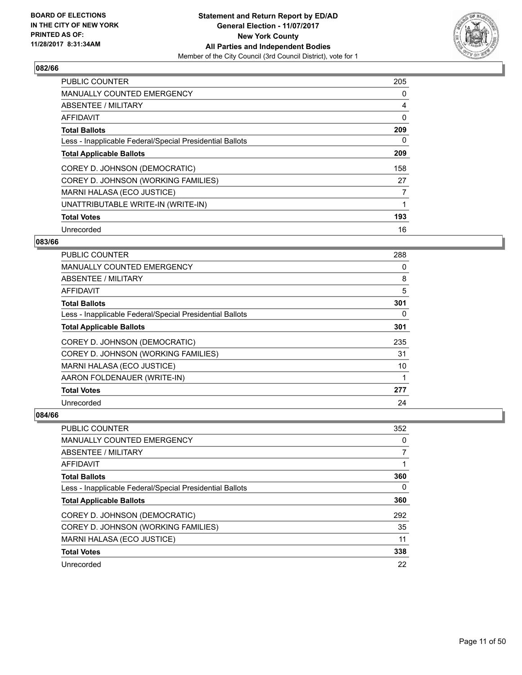

| <b>PUBLIC COUNTER</b>                                    | 205 |
|----------------------------------------------------------|-----|
| <b>MANUALLY COUNTED EMERGENCY</b>                        | 0   |
| ABSENTEE / MILITARY                                      | 4   |
| <b>AFFIDAVIT</b>                                         | 0   |
| <b>Total Ballots</b>                                     | 209 |
| Less - Inapplicable Federal/Special Presidential Ballots | 0   |
| <b>Total Applicable Ballots</b>                          | 209 |
| COREY D. JOHNSON (DEMOCRATIC)                            | 158 |
| COREY D. JOHNSON (WORKING FAMILIES)                      | 27  |
| <b>MARNI HALASA (ECO JUSTICE)</b>                        | 7   |
| UNATTRIBUTABLE WRITE-IN (WRITE-IN)                       | 1   |
| <b>Total Votes</b>                                       | 193 |
| Unrecorded                                               | 16  |

## **083/66**

| <b>PUBLIC COUNTER</b>                                    | 288 |
|----------------------------------------------------------|-----|
| MANUALLY COUNTED EMERGENCY                               | 0   |
| ABSENTEE / MILITARY                                      | 8   |
| AFFIDAVIT                                                | 5   |
| <b>Total Ballots</b>                                     | 301 |
| Less - Inapplicable Federal/Special Presidential Ballots | 0   |
| <b>Total Applicable Ballots</b>                          | 301 |
| COREY D. JOHNSON (DEMOCRATIC)                            | 235 |
| COREY D. JOHNSON (WORKING FAMILIES)                      | 31  |
| MARNI HALASA (ECO JUSTICE)                               | 10  |
| AARON FOLDENAUER (WRITE-IN)                              |     |
| <b>Total Votes</b>                                       | 277 |
| Unrecorded                                               | 24  |

| <b>PUBLIC COUNTER</b>                                    | 352 |
|----------------------------------------------------------|-----|
| <b>MANUALLY COUNTED EMERGENCY</b>                        | 0   |
| ABSENTEE / MILITARY                                      |     |
| AFFIDAVIT                                                |     |
| <b>Total Ballots</b>                                     | 360 |
| Less - Inapplicable Federal/Special Presidential Ballots | 0   |
| <b>Total Applicable Ballots</b>                          | 360 |
| COREY D. JOHNSON (DEMOCRATIC)                            | 292 |
| COREY D. JOHNSON (WORKING FAMILIES)                      | 35  |
| MARNI HALASA (ECO JUSTICE)                               | 11  |
| <b>Total Votes</b>                                       | 338 |
| Unrecorded                                               | 22  |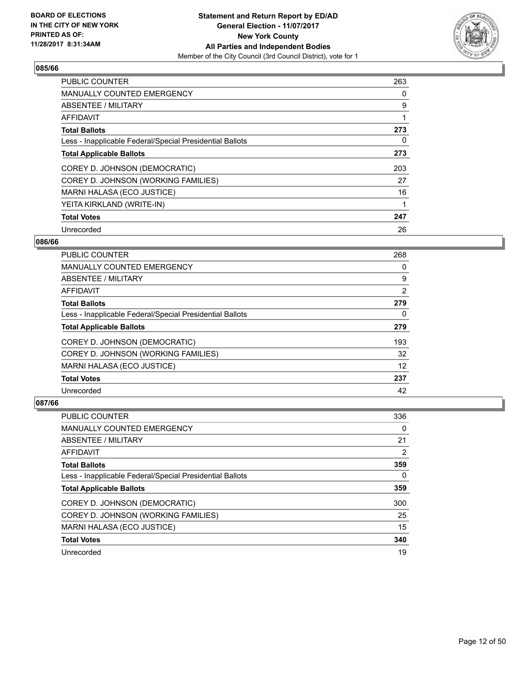

| <b>PUBLIC COUNTER</b>                                    | 263 |
|----------------------------------------------------------|-----|
| <b>MANUALLY COUNTED EMERGENCY</b>                        | 0   |
| ABSENTEE / MILITARY                                      | 9   |
| <b>AFFIDAVIT</b>                                         | 1   |
| <b>Total Ballots</b>                                     | 273 |
| Less - Inapplicable Federal/Special Presidential Ballots | 0   |
| <b>Total Applicable Ballots</b>                          | 273 |
| COREY D. JOHNSON (DEMOCRATIC)                            | 203 |
| COREY D. JOHNSON (WORKING FAMILIES)                      | 27  |
| MARNI HALASA (ECO JUSTICE)                               | 16  |
| YEITA KIRKLAND (WRITE-IN)                                | 1   |
| <b>Total Votes</b>                                       | 247 |
| Unrecorded                                               | 26  |

## **086/66**

| <b>PUBLIC COUNTER</b>                                    | 268 |
|----------------------------------------------------------|-----|
| <b>MANUALLY COUNTED EMERGENCY</b>                        | 0   |
| ABSENTEE / MILITARY                                      | 9   |
| <b>AFFIDAVIT</b>                                         | 2   |
| <b>Total Ballots</b>                                     | 279 |
| Less - Inapplicable Federal/Special Presidential Ballots | 0   |
| <b>Total Applicable Ballots</b>                          | 279 |
| COREY D. JOHNSON (DEMOCRATIC)                            | 193 |
| COREY D. JOHNSON (WORKING FAMILIES)                      | 32  |
| MARNI HALASA (ECO JUSTICE)                               | 12  |
| <b>Total Votes</b>                                       | 237 |
| Unrecorded                                               | 42  |

| <b>PUBLIC COUNTER</b>                                    | 336 |
|----------------------------------------------------------|-----|
| <b>MANUALLY COUNTED EMERGENCY</b>                        | 0   |
| ABSENTEE / MILITARY                                      | 21  |
| AFFIDAVIT                                                | 2   |
| <b>Total Ballots</b>                                     | 359 |
| Less - Inapplicable Federal/Special Presidential Ballots | 0   |
| <b>Total Applicable Ballots</b>                          | 359 |
| COREY D. JOHNSON (DEMOCRATIC)                            | 300 |
| COREY D. JOHNSON (WORKING FAMILIES)                      | 25  |
| MARNI HALASA (ECO JUSTICE)                               | 15  |
| <b>Total Votes</b>                                       | 340 |
|                                                          |     |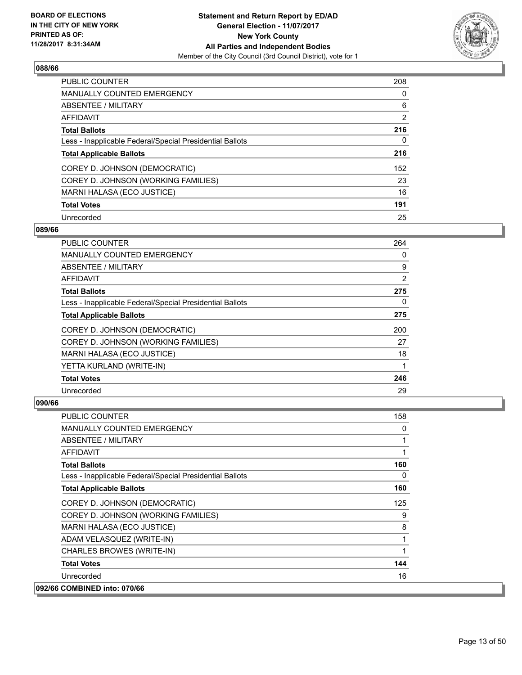

| <b>PUBLIC COUNTER</b>                                    | 208            |
|----------------------------------------------------------|----------------|
| <b>MANUALLY COUNTED EMERGENCY</b>                        | 0              |
| ABSENTEE / MILITARY                                      | 6              |
| <b>AFFIDAVIT</b>                                         | $\overline{2}$ |
| <b>Total Ballots</b>                                     | 216            |
| Less - Inapplicable Federal/Special Presidential Ballots | 0              |
| <b>Total Applicable Ballots</b>                          | 216            |
| COREY D. JOHNSON (DEMOCRATIC)                            | 152            |
| COREY D. JOHNSON (WORKING FAMILIES)                      | 23             |
| MARNI HALASA (ECO JUSTICE)                               | 16             |
| <b>Total Votes</b>                                       | 191            |
| Unrecorded                                               | 25             |

#### **089/66**

| <b>PUBLIC COUNTER</b>                                    | 264 |
|----------------------------------------------------------|-----|
| <b>MANUALLY COUNTED EMERGENCY</b>                        | 0   |
| ABSENTEE / MILITARY                                      | 9   |
| AFFIDAVIT                                                | 2   |
| <b>Total Ballots</b>                                     | 275 |
| Less - Inapplicable Federal/Special Presidential Ballots | 0   |
| <b>Total Applicable Ballots</b>                          | 275 |
| COREY D. JOHNSON (DEMOCRATIC)                            | 200 |
| COREY D. JOHNSON (WORKING FAMILIES)                      | 27  |
| MARNI HALASA (ECO JUSTICE)                               | 18  |
| YETTA KURLAND (WRITE-IN)                                 |     |
| <b>Total Votes</b>                                       | 246 |
| Unrecorded                                               | 29  |

| <b>PUBLIC COUNTER</b>                                    | 158 |
|----------------------------------------------------------|-----|
| <b>MANUALLY COUNTED EMERGENCY</b>                        | 0   |
| ABSENTEE / MILITARY                                      |     |
| AFFIDAVIT                                                |     |
| <b>Total Ballots</b>                                     | 160 |
| Less - Inapplicable Federal/Special Presidential Ballots | 0   |
| <b>Total Applicable Ballots</b>                          | 160 |
| COREY D. JOHNSON (DEMOCRATIC)                            | 125 |
| COREY D. JOHNSON (WORKING FAMILIES)                      | 9   |
| MARNI HALASA (ECO JUSTICE)                               | 8   |
| ADAM VELASQUEZ (WRITE-IN)                                |     |
| CHARLES BROWES (WRITE-IN)                                | 1   |
| <b>Total Votes</b>                                       | 144 |
| Unrecorded                                               | 16  |
| 092/66 COMBINED into: 070/66                             |     |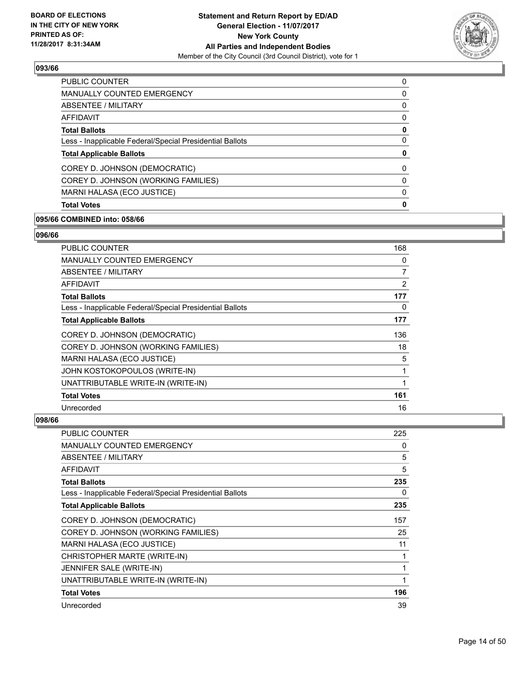

| <b>PUBLIC COUNTER</b>                                    | 0 |
|----------------------------------------------------------|---|
| <b>MANUALLY COUNTED EMERGENCY</b>                        | 0 |
| ABSENTEE / MILITARY                                      | 0 |
| AFFIDAVIT                                                | 0 |
| <b>Total Ballots</b>                                     | 0 |
| Less - Inapplicable Federal/Special Presidential Ballots | 0 |
| <b>Total Applicable Ballots</b>                          | 0 |
| COREY D. JOHNSON (DEMOCRATIC)                            | 0 |
| COREY D. JOHNSON (WORKING FAMILIES)                      | 0 |
| MARNI HALASA (ECO JUSTICE)                               | 0 |
| <b>Total Votes</b>                                       | 0 |
|                                                          |   |

#### **095/66 COMBINED into: 058/66**

#### **096/66**

| <b>PUBLIC COUNTER</b>                                    | 168 |
|----------------------------------------------------------|-----|
| MANUALLY COUNTED EMERGENCY                               | 0   |
| ABSENTEE / MILITARY                                      | 7   |
| AFFIDAVIT                                                | 2   |
| <b>Total Ballots</b>                                     | 177 |
| Less - Inapplicable Federal/Special Presidential Ballots | 0   |
| <b>Total Applicable Ballots</b>                          | 177 |
| COREY D. JOHNSON (DEMOCRATIC)                            | 136 |
| COREY D. JOHNSON (WORKING FAMILIES)                      | 18  |
| MARNI HALASA (ECO JUSTICE)                               | 5   |
| JOHN KOSTOKOPOULOS (WRITE-IN)                            | 1   |
| UNATTRIBUTABLE WRITE-IN (WRITE-IN)                       | 1   |
| <b>Total Votes</b>                                       | 161 |
| Unrecorded                                               | 16  |

| <b>PUBLIC COUNTER</b>                                    | 225 |
|----------------------------------------------------------|-----|
| MANUALLY COUNTED EMERGENCY                               | 0   |
| ABSENTEE / MILITARY                                      | 5   |
| <b>AFFIDAVIT</b>                                         | 5   |
| <b>Total Ballots</b>                                     | 235 |
| Less - Inapplicable Federal/Special Presidential Ballots | 0   |
| <b>Total Applicable Ballots</b>                          | 235 |
| COREY D. JOHNSON (DEMOCRATIC)                            | 157 |
| COREY D. JOHNSON (WORKING FAMILIES)                      | 25  |
| <b>MARNI HALASA (ECO JUSTICE)</b>                        | 11  |
| CHRISTOPHER MARTE (WRITE-IN)                             | 1   |
| JENNIFER SALE (WRITE-IN)                                 | 1   |
| UNATTRIBUTABLE WRITE-IN (WRITE-IN)                       | 1   |
| <b>Total Votes</b>                                       | 196 |
| Unrecorded                                               | 39  |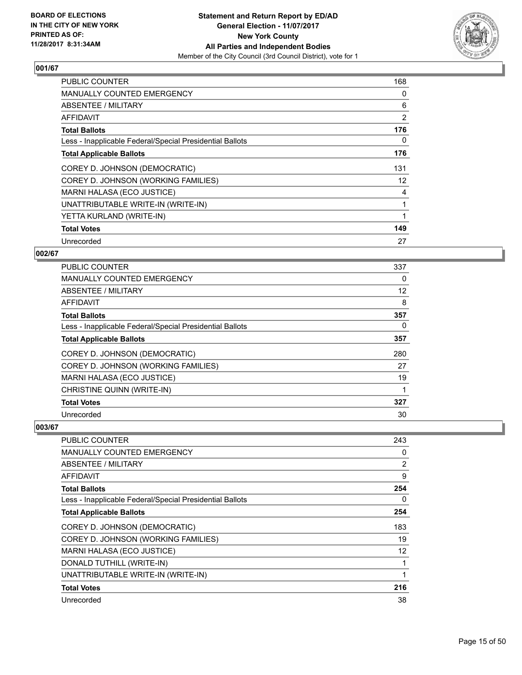

| <b>PUBLIC COUNTER</b>                                    | 168 |
|----------------------------------------------------------|-----|
| <b>MANUALLY COUNTED EMERGENCY</b>                        | 0   |
| <b>ABSENTEE / MILITARY</b>                               | 6   |
| AFFIDAVIT                                                | 2   |
| <b>Total Ballots</b>                                     | 176 |
| Less - Inapplicable Federal/Special Presidential Ballots | 0   |
| <b>Total Applicable Ballots</b>                          | 176 |
| COREY D. JOHNSON (DEMOCRATIC)                            | 131 |
| COREY D. JOHNSON (WORKING FAMILIES)                      | 12  |
| <b>MARNI HALASA (ECO JUSTICE)</b>                        | 4   |
| UNATTRIBUTABLE WRITE-IN (WRITE-IN)                       | 1   |
| YETTA KURLAND (WRITE-IN)                                 |     |
| <b>Total Votes</b>                                       | 149 |
| Unrecorded                                               | 27  |

# **002/67**

| <b>PUBLIC COUNTER</b>                                    | 337 |
|----------------------------------------------------------|-----|
| <b>MANUALLY COUNTED EMERGENCY</b>                        | 0   |
| ABSENTEE / MILITARY                                      | 12  |
| AFFIDAVIT                                                | 8   |
| <b>Total Ballots</b>                                     | 357 |
| Less - Inapplicable Federal/Special Presidential Ballots | 0   |
| <b>Total Applicable Ballots</b>                          | 357 |
| COREY D. JOHNSON (DEMOCRATIC)                            | 280 |
| COREY D. JOHNSON (WORKING FAMILIES)                      | 27  |
| MARNI HALASA (ECO JUSTICE)                               | 19  |
| CHRISTINE QUINN (WRITE-IN)                               |     |
| <b>Total Votes</b>                                       | 327 |
| Unrecorded                                               | 30  |

| <b>PUBLIC COUNTER</b>                                    | 243 |
|----------------------------------------------------------|-----|
| <b>MANUALLY COUNTED EMERGENCY</b>                        | 0   |
| ABSENTEE / MILITARY                                      | 2   |
| <b>AFFIDAVIT</b>                                         | 9   |
| <b>Total Ballots</b>                                     | 254 |
| Less - Inapplicable Federal/Special Presidential Ballots | 0   |
| <b>Total Applicable Ballots</b>                          | 254 |
| COREY D. JOHNSON (DEMOCRATIC)                            | 183 |
| COREY D. JOHNSON (WORKING FAMILIES)                      | 19  |
| MARNI HALASA (ECO JUSTICE)                               | 12  |
| DONALD TUTHILL (WRITE-IN)                                |     |
| UNATTRIBUTABLE WRITE-IN (WRITE-IN)                       |     |
| <b>Total Votes</b>                                       | 216 |
| Unrecorded                                               | 38  |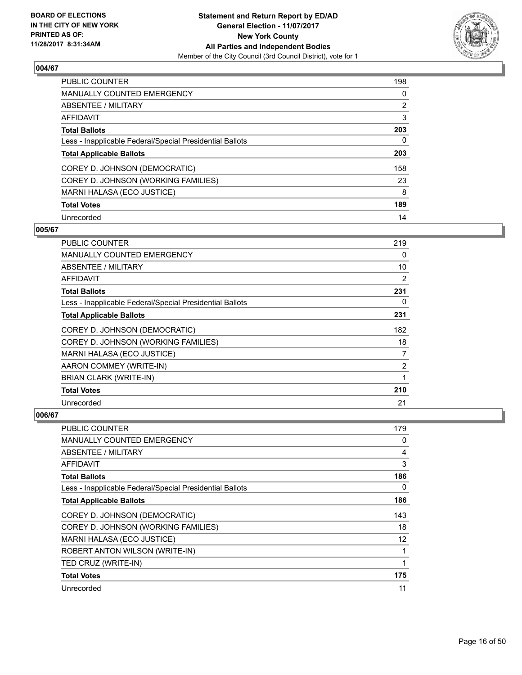

| <b>PUBLIC COUNTER</b>                                    | 198            |
|----------------------------------------------------------|----------------|
| <b>MANUALLY COUNTED EMERGENCY</b>                        | 0              |
| ABSENTEE / MILITARY                                      | $\overline{2}$ |
| AFFIDAVIT                                                | 3              |
| <b>Total Ballots</b>                                     | 203            |
| Less - Inapplicable Federal/Special Presidential Ballots | 0              |
| <b>Total Applicable Ballots</b>                          | 203            |
| COREY D. JOHNSON (DEMOCRATIC)                            | 158            |
| COREY D. JOHNSON (WORKING FAMILIES)                      | 23             |
| MARNI HALASA (ECO JUSTICE)                               | 8              |
| <b>Total Votes</b>                                       | 189            |
| Unrecorded                                               | 14             |

## **005/67**

| <b>PUBLIC COUNTER</b>                                    | 219 |
|----------------------------------------------------------|-----|
| MANUALLY COUNTED EMERGENCY                               | 0   |
| ABSENTEE / MILITARY                                      | 10  |
| <b>AFFIDAVIT</b>                                         | 2   |
| <b>Total Ballots</b>                                     | 231 |
| Less - Inapplicable Federal/Special Presidential Ballots | 0   |
| <b>Total Applicable Ballots</b>                          | 231 |
| COREY D. JOHNSON (DEMOCRATIC)                            | 182 |
| COREY D. JOHNSON (WORKING FAMILIES)                      | 18  |
| MARNI HALASA (ECO JUSTICE)                               | 7   |
| AARON COMMEY (WRITE-IN)                                  | 2   |
| <b>BRIAN CLARK (WRITE-IN)</b>                            | 1   |
| <b>Total Votes</b>                                       | 210 |
| Unrecorded                                               | 21  |

| <b>PUBLIC COUNTER</b>                                    | 179 |
|----------------------------------------------------------|-----|
| MANUALLY COUNTED EMERGENCY                               | 0   |
| ABSENTEE / MILITARY                                      | 4   |
| AFFIDAVIT                                                | 3   |
| <b>Total Ballots</b>                                     | 186 |
| Less - Inapplicable Federal/Special Presidential Ballots | 0   |
| <b>Total Applicable Ballots</b>                          | 186 |
| COREY D. JOHNSON (DEMOCRATIC)                            | 143 |
| COREY D. JOHNSON (WORKING FAMILIES)                      | 18  |
| MARNI HALASA (ECO JUSTICE)                               | 12  |
| ROBERT ANTON WILSON (WRITE-IN)                           | 1   |
| TED CRUZ (WRITE-IN)                                      | 1   |
| <b>Total Votes</b>                                       | 175 |
|                                                          |     |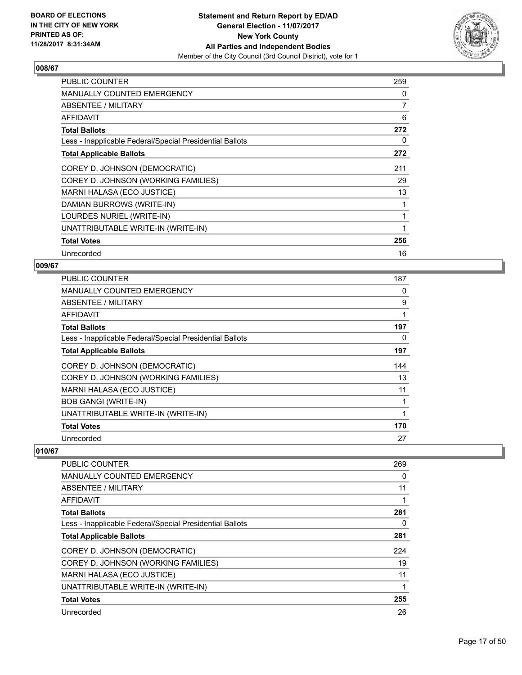

| <b>PUBLIC COUNTER</b>                                    | 259 |
|----------------------------------------------------------|-----|
| <b>MANUALLY COUNTED EMERGENCY</b>                        | 0   |
| ABSENTEE / MILITARY                                      | 7   |
| AFFIDAVIT                                                | 6   |
| <b>Total Ballots</b>                                     | 272 |
| Less - Inapplicable Federal/Special Presidential Ballots | 0   |
| <b>Total Applicable Ballots</b>                          | 272 |
| COREY D. JOHNSON (DEMOCRATIC)                            | 211 |
| COREY D. JOHNSON (WORKING FAMILIES)                      | 29  |
| MARNI HALASA (ECO JUSTICE)                               | 13  |
| DAMIAN BURROWS (WRITE-IN)                                |     |
| LOURDES NURIEL (WRITE-IN)                                | 1   |
| UNATTRIBUTABLE WRITE-IN (WRITE-IN)                       | 1   |
| <b>Total Votes</b>                                       | 256 |
| Unrecorded                                               | 16  |

# **009/67**

| <b>PUBLIC COUNTER</b>                                    | 187 |
|----------------------------------------------------------|-----|
| MANUALLY COUNTED EMERGENCY                               | 0   |
| ABSENTEE / MILITARY                                      | 9   |
| AFFIDAVIT                                                | 1   |
| <b>Total Ballots</b>                                     | 197 |
| Less - Inapplicable Federal/Special Presidential Ballots | 0   |
| <b>Total Applicable Ballots</b>                          | 197 |
| COREY D. JOHNSON (DEMOCRATIC)                            | 144 |
| COREY D. JOHNSON (WORKING FAMILIES)                      | 13  |
| MARNI HALASA (ECO JUSTICE)                               | 11  |
| <b>BOB GANGI (WRITE-IN)</b>                              | 1   |
| UNATTRIBUTABLE WRITE-IN (WRITE-IN)                       | 1   |
| <b>Total Votes</b>                                       | 170 |
| Unrecorded                                               | 27  |

| <b>PUBLIC COUNTER</b>                                    | 269 |
|----------------------------------------------------------|-----|
| <b>MANUALLY COUNTED EMERGENCY</b>                        | 0   |
| ABSENTEE / MILITARY                                      | 11  |
| AFFIDAVIT                                                | 1   |
| <b>Total Ballots</b>                                     | 281 |
| Less - Inapplicable Federal/Special Presidential Ballots | 0   |
| <b>Total Applicable Ballots</b>                          | 281 |
| COREY D. JOHNSON (DEMOCRATIC)                            | 224 |
| COREY D. JOHNSON (WORKING FAMILIES)                      | 19  |
| MARNI HALASA (ECO JUSTICE)                               | 11  |
| UNATTRIBUTABLE WRITE-IN (WRITE-IN)                       | 1   |
| <b>Total Votes</b>                                       | 255 |
| Unrecorded                                               | 26  |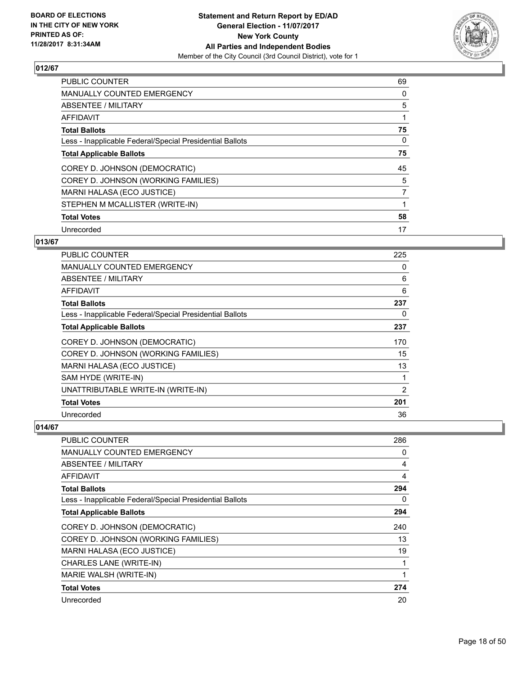

| <b>PUBLIC COUNTER</b>                                    | 69 |
|----------------------------------------------------------|----|
| <b>MANUALLY COUNTED EMERGENCY</b>                        | 0  |
| ABSENTEE / MILITARY                                      | 5  |
| <b>AFFIDAVIT</b>                                         |    |
| <b>Total Ballots</b>                                     | 75 |
| Less - Inapplicable Federal/Special Presidential Ballots | 0  |
| <b>Total Applicable Ballots</b>                          | 75 |
| COREY D. JOHNSON (DEMOCRATIC)                            | 45 |
| COREY D. JOHNSON (WORKING FAMILIES)                      | 5  |
| <b>MARNI HALASA (ECO JUSTICE)</b>                        | 7  |
| STEPHEN M MCALLISTER (WRITE-IN)                          | 1  |
| <b>Total Votes</b>                                       | 58 |
| Unrecorded                                               | 17 |

# **013/67**

| <b>PUBLIC COUNTER</b>                                    | 225 |
|----------------------------------------------------------|-----|
| <b>MANUALLY COUNTED EMERGENCY</b>                        | 0   |
| ABSENTEE / MILITARY                                      | 6   |
| AFFIDAVIT                                                | 6   |
| <b>Total Ballots</b>                                     | 237 |
| Less - Inapplicable Federal/Special Presidential Ballots | 0   |
| <b>Total Applicable Ballots</b>                          | 237 |
| COREY D. JOHNSON (DEMOCRATIC)                            | 170 |
| COREY D. JOHNSON (WORKING FAMILIES)                      | 15  |
| MARNI HALASA (ECO JUSTICE)                               | 13  |
| SAM HYDE (WRITE-IN)                                      | 1   |
| UNATTRIBUTABLE WRITE-IN (WRITE-IN)                       | 2   |
| <b>Total Votes</b>                                       | 201 |
| Unrecorded                                               | 36  |

| PUBLIC COUNTER                                           | 286 |
|----------------------------------------------------------|-----|
| <b>MANUALLY COUNTED EMERGENCY</b>                        | 0   |
| ABSENTEE / MILITARY                                      | 4   |
| AFFIDAVIT                                                | 4   |
| <b>Total Ballots</b>                                     | 294 |
| Less - Inapplicable Federal/Special Presidential Ballots | 0   |
| <b>Total Applicable Ballots</b>                          | 294 |
| COREY D. JOHNSON (DEMOCRATIC)                            | 240 |
| COREY D. JOHNSON (WORKING FAMILIES)                      | 13  |
| MARNI HALASA (ECO JUSTICE)                               | 19  |
| <b>CHARLES LANE (WRITE-IN)</b>                           |     |
| MARIE WALSH (WRITE-IN)                                   |     |
| <b>Total Votes</b>                                       | 274 |
| Unrecorded                                               | 20  |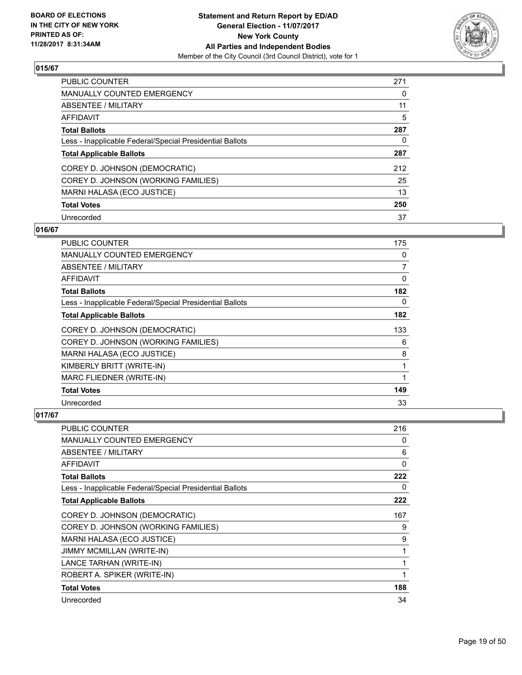

| <b>PUBLIC COUNTER</b>                                    | 271 |
|----------------------------------------------------------|-----|
| <b>MANUALLY COUNTED EMERGENCY</b>                        | 0   |
| ABSENTEE / MILITARY                                      | 11  |
| AFFIDAVIT                                                | 5   |
| <b>Total Ballots</b>                                     | 287 |
| Less - Inapplicable Federal/Special Presidential Ballots | 0   |
| <b>Total Applicable Ballots</b>                          | 287 |
| COREY D. JOHNSON (DEMOCRATIC)                            | 212 |
| COREY D. JOHNSON (WORKING FAMILIES)                      | 25  |
| MARNI HALASA (ECO JUSTICE)                               | 13  |
| <b>Total Votes</b>                                       | 250 |
| Unrecorded                                               | 37  |

# **016/67**

| <b>PUBLIC COUNTER</b>                                    | 175 |
|----------------------------------------------------------|-----|
| <b>MANUALLY COUNTED EMERGENCY</b>                        | 0   |
| ABSENTEE / MILITARY                                      | 7   |
| AFFIDAVIT                                                | 0   |
| <b>Total Ballots</b>                                     | 182 |
| Less - Inapplicable Federal/Special Presidential Ballots | 0   |
| <b>Total Applicable Ballots</b>                          | 182 |
| COREY D. JOHNSON (DEMOCRATIC)                            | 133 |
| COREY D. JOHNSON (WORKING FAMILIES)                      | 6   |
| MARNI HALASA (ECO JUSTICE)                               | 8   |
| KIMBERLY BRITT (WRITE-IN)                                | 1   |
| MARC FLIEDNER (WRITE-IN)                                 | 1   |
| <b>Total Votes</b>                                       | 149 |
| Unrecorded                                               | 33  |

| <b>PUBLIC COUNTER</b>                                    | 216 |
|----------------------------------------------------------|-----|
| <b>MANUALLY COUNTED EMERGENCY</b>                        | 0   |
| ABSENTEE / MILITARY                                      | 6   |
| AFFIDAVIT                                                | 0   |
| <b>Total Ballots</b>                                     | 222 |
| Less - Inapplicable Federal/Special Presidential Ballots | 0   |
| <b>Total Applicable Ballots</b>                          | 222 |
| COREY D. JOHNSON (DEMOCRATIC)                            | 167 |
| COREY D. JOHNSON (WORKING FAMILIES)                      | 9   |
| MARNI HALASA (ECO JUSTICE)                               | 9   |
| <b>JIMMY MCMILLAN (WRITE-IN)</b>                         | 1   |
| LANCE TARHAN (WRITE-IN)                                  | 1   |
| ROBERT A. SPIKER (WRITE-IN)                              |     |
| <b>Total Votes</b>                                       | 188 |
| Unrecorded                                               | 34  |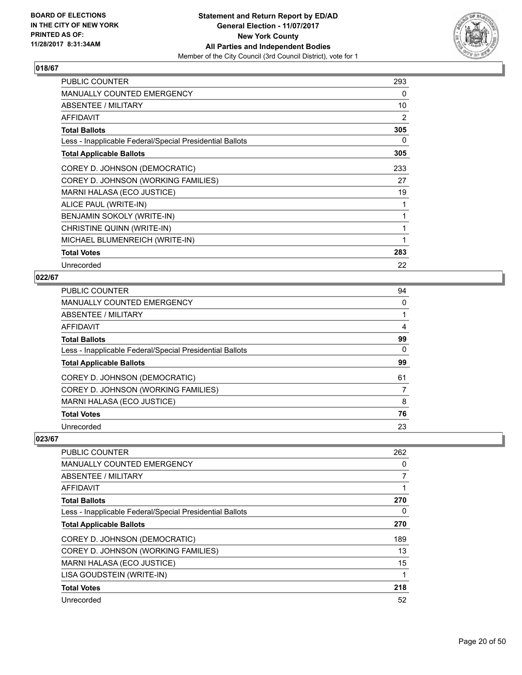

| <b>PUBLIC COUNTER</b>                                    | 293 |
|----------------------------------------------------------|-----|
| MANUALLY COUNTED EMERGENCY                               | 0   |
| <b>ABSENTEE / MILITARY</b>                               | 10  |
| <b>AFFIDAVIT</b>                                         | 2   |
| <b>Total Ballots</b>                                     | 305 |
| Less - Inapplicable Federal/Special Presidential Ballots | 0   |
| <b>Total Applicable Ballots</b>                          | 305 |
| COREY D. JOHNSON (DEMOCRATIC)                            | 233 |
| COREY D. JOHNSON (WORKING FAMILIES)                      | 27  |
| MARNI HALASA (ECO JUSTICE)                               | 19  |
| ALICE PAUL (WRITE-IN)                                    | 1   |
| BENJAMIN SOKOLY (WRITE-IN)                               | 1   |
| CHRISTINE QUINN (WRITE-IN)                               | 1   |
| MICHAEL BLUMENREICH (WRITE-IN)                           | 1   |
| <b>Total Votes</b>                                       | 283 |
| Unrecorded                                               | 22  |

# **022/67**

| PUBLIC COUNTER                                           | 94 |
|----------------------------------------------------------|----|
| <b>MANUALLY COUNTED EMERGENCY</b>                        | 0  |
| ABSENTEE / MILITARY                                      |    |
| AFFIDAVIT                                                | 4  |
| <b>Total Ballots</b>                                     | 99 |
| Less - Inapplicable Federal/Special Presidential Ballots | 0  |
| <b>Total Applicable Ballots</b>                          | 99 |
| COREY D. JOHNSON (DEMOCRATIC)                            | 61 |
| COREY D. JOHNSON (WORKING FAMILIES)                      | 7  |
| MARNI HALASA (ECO JUSTICE)                               | 8  |
| <b>Total Votes</b>                                       | 76 |
| Unrecorded                                               | 23 |

| <b>PUBLIC COUNTER</b>                                    | 262 |
|----------------------------------------------------------|-----|
| <b>MANUALLY COUNTED EMERGENCY</b>                        | 0   |
| ABSENTEE / MILITARY                                      | 7   |
| AFFIDAVIT                                                |     |
| <b>Total Ballots</b>                                     | 270 |
| Less - Inapplicable Federal/Special Presidential Ballots | 0   |
| <b>Total Applicable Ballots</b>                          | 270 |
| COREY D. JOHNSON (DEMOCRATIC)                            | 189 |
| COREY D. JOHNSON (WORKING FAMILIES)                      | 13  |
| MARNI HALASA (ECO JUSTICE)                               | 15  |
| LISA GOUDSTEIN (WRITE-IN)                                |     |
| <b>Total Votes</b>                                       | 218 |
| Unrecorded                                               | 52  |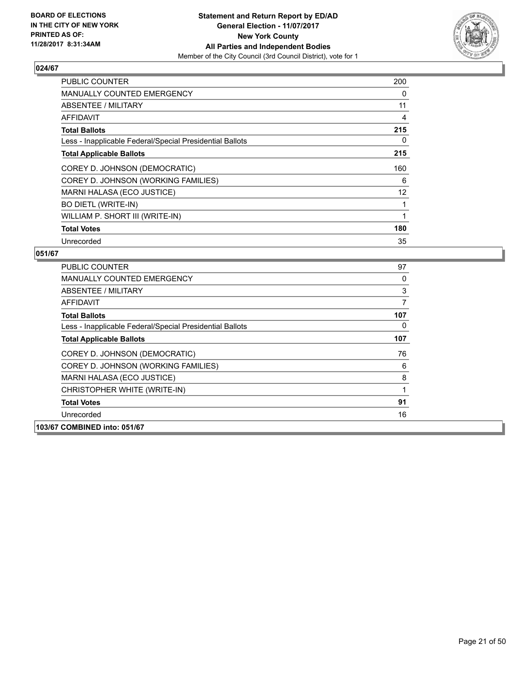

| <b>PUBLIC COUNTER</b>                                    | 200 |
|----------------------------------------------------------|-----|
| <b>MANUALLY COUNTED EMERGENCY</b>                        | 0   |
| <b>ABSENTEE / MILITARY</b>                               | 11  |
| AFFIDAVIT                                                | 4   |
| <b>Total Ballots</b>                                     | 215 |
| Less - Inapplicable Federal/Special Presidential Ballots | 0   |
| <b>Total Applicable Ballots</b>                          | 215 |
| COREY D. JOHNSON (DEMOCRATIC)                            | 160 |
| COREY D. JOHNSON (WORKING FAMILIES)                      | 6   |
| MARNI HALASA (ECO JUSTICE)                               | 12  |
| <b>BO DIETL (WRITE-IN)</b>                               |     |
| WILLIAM P. SHORT III (WRITE-IN)                          |     |
| <b>Total Votes</b>                                       | 180 |
| Unrecorded                                               | 35  |

| <b>PUBLIC COUNTER</b>                                    | 97  |
|----------------------------------------------------------|-----|
| MANUALLY COUNTED EMERGENCY                               | 0   |
| ABSENTEE / MILITARY                                      | 3   |
| <b>AFFIDAVIT</b>                                         | 7   |
| <b>Total Ballots</b>                                     | 107 |
| Less - Inapplicable Federal/Special Presidential Ballots | 0   |
| <b>Total Applicable Ballots</b>                          | 107 |
| COREY D. JOHNSON (DEMOCRATIC)                            | 76  |
| COREY D. JOHNSON (WORKING FAMILIES)                      | 6   |
| MARNI HALASA (ECO JUSTICE)                               | 8   |
| CHRISTOPHER WHITE (WRITE-IN)                             |     |
| <b>Total Votes</b>                                       | 91  |
| Unrecorded                                               | 16  |
| 103/67 COMBINED into: 051/67                             |     |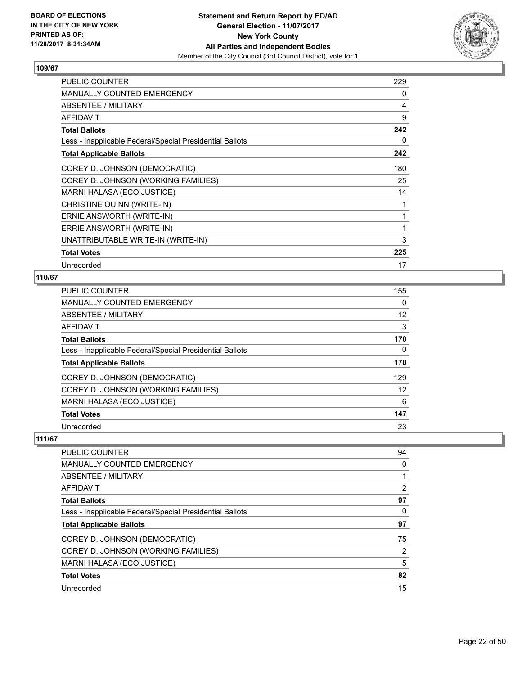

| <b>PUBLIC COUNTER</b>                                    | 229 |
|----------------------------------------------------------|-----|
| <b>MANUALLY COUNTED EMERGENCY</b>                        | 0   |
| ABSENTEE / MILITARY                                      | 4   |
| <b>AFFIDAVIT</b>                                         | 9   |
| <b>Total Ballots</b>                                     | 242 |
| Less - Inapplicable Federal/Special Presidential Ballots | 0   |
| <b>Total Applicable Ballots</b>                          | 242 |
| COREY D. JOHNSON (DEMOCRATIC)                            | 180 |
| COREY D. JOHNSON (WORKING FAMILIES)                      | 25  |
| MARNI HALASA (ECO JUSTICE)                               | 14  |
| CHRISTINE QUINN (WRITE-IN)                               | 1   |
| ERNIE ANSWORTH (WRITE-IN)                                | 1   |
| ERRIE ANSWORTH (WRITE-IN)                                | 1   |
| UNATTRIBUTABLE WRITE-IN (WRITE-IN)                       | 3   |
| <b>Total Votes</b>                                       | 225 |
| Unrecorded                                               | 17  |

# **110/67**

| PUBLIC COUNTER                                           | 155 |
|----------------------------------------------------------|-----|
| <b>MANUALLY COUNTED EMERGENCY</b>                        | 0   |
| ABSENTEE / MILITARY                                      | 12  |
| AFFIDAVIT                                                | 3   |
| <b>Total Ballots</b>                                     | 170 |
| Less - Inapplicable Federal/Special Presidential Ballots | 0   |
| <b>Total Applicable Ballots</b>                          | 170 |
| COREY D. JOHNSON (DEMOCRATIC)                            | 129 |
| COREY D. JOHNSON (WORKING FAMILIES)                      | 12  |
| MARNI HALASA (ECO JUSTICE)                               | 6   |
| <b>Total Votes</b>                                       | 147 |
| Unrecorded                                               | 23  |

| <b>PUBLIC COUNTER</b>                                    | 94 |
|----------------------------------------------------------|----|
| <b>MANUALLY COUNTED EMERGENCY</b>                        | 0  |
| ABSENTEE / MILITARY                                      |    |
| AFFIDAVIT                                                | 2  |
| <b>Total Ballots</b>                                     | 97 |
| Less - Inapplicable Federal/Special Presidential Ballots | 0  |
| <b>Total Applicable Ballots</b>                          | 97 |
| COREY D. JOHNSON (DEMOCRATIC)                            | 75 |
| COREY D. JOHNSON (WORKING FAMILIES)                      | 2  |
| MARNI HALASA (ECO JUSTICE)                               | 5  |
| <b>Total Votes</b>                                       | 82 |
| Unrecorded                                               | 15 |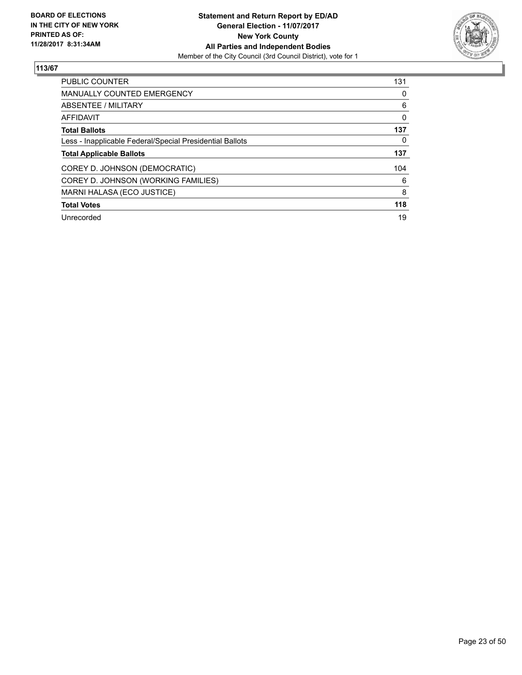

| <b>PUBLIC COUNTER</b>                                    | 131 |
|----------------------------------------------------------|-----|
| <b>MANUALLY COUNTED EMERGENCY</b>                        | 0   |
| ABSENTEE / MILITARY                                      | 6   |
| <b>AFFIDAVIT</b>                                         | 0   |
| <b>Total Ballots</b>                                     | 137 |
| Less - Inapplicable Federal/Special Presidential Ballots | 0   |
| <b>Total Applicable Ballots</b>                          | 137 |
| COREY D. JOHNSON (DEMOCRATIC)                            | 104 |
| COREY D. JOHNSON (WORKING FAMILIES)                      | 6   |
| MARNI HALASA (ECO JUSTICE)                               | 8   |
| <b>Total Votes</b>                                       | 118 |
| Unrecorded                                               | 19  |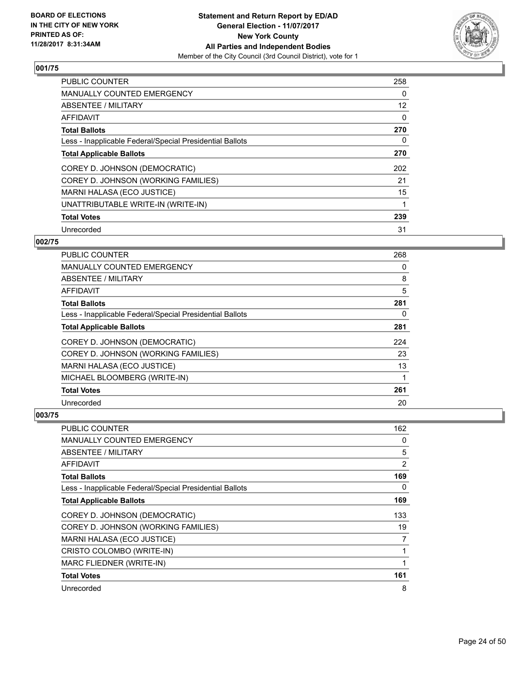

| <b>PUBLIC COUNTER</b>                                    | 258 |
|----------------------------------------------------------|-----|
| MANUALLY COUNTED EMERGENCY                               | 0   |
| ABSENTEE / MILITARY                                      | 12  |
| <b>AFFIDAVIT</b>                                         | 0   |
| <b>Total Ballots</b>                                     | 270 |
| Less - Inapplicable Federal/Special Presidential Ballots | 0   |
| <b>Total Applicable Ballots</b>                          | 270 |
| COREY D. JOHNSON (DEMOCRATIC)                            | 202 |
| COREY D. JOHNSON (WORKING FAMILIES)                      | 21  |
| MARNI HALASA (ECO JUSTICE)                               | 15  |
| UNATTRIBUTABLE WRITE-IN (WRITE-IN)                       | 1   |
| <b>Total Votes</b>                                       | 239 |
| Unrecorded                                               | 31  |

# **002/75**

| <b>PUBLIC COUNTER</b>                                    | 268 |
|----------------------------------------------------------|-----|
| <b>MANUALLY COUNTED EMERGENCY</b>                        | 0   |
| ABSENTEE / MILITARY                                      | 8   |
| AFFIDAVIT                                                | 5   |
| <b>Total Ballots</b>                                     | 281 |
| Less - Inapplicable Federal/Special Presidential Ballots | 0   |
| <b>Total Applicable Ballots</b>                          | 281 |
| COREY D. JOHNSON (DEMOCRATIC)                            | 224 |
| COREY D. JOHNSON (WORKING FAMILIES)                      | 23  |
| MARNI HALASA (ECO JUSTICE)                               | 13  |
| MICHAEL BLOOMBERG (WRITE-IN)                             |     |
| <b>Total Votes</b>                                       | 261 |
| Unrecorded                                               | 20  |

| PUBLIC COUNTER                                           | 162            |
|----------------------------------------------------------|----------------|
| <b>MANUALLY COUNTED EMERGENCY</b>                        | 0              |
| ABSENTEE / MILITARY                                      | 5              |
| AFFIDAVIT                                                | $\overline{2}$ |
| <b>Total Ballots</b>                                     | 169            |
| Less - Inapplicable Federal/Special Presidential Ballots | 0              |
| <b>Total Applicable Ballots</b>                          | 169            |
| COREY D. JOHNSON (DEMOCRATIC)                            | 133            |
| COREY D. JOHNSON (WORKING FAMILIES)                      | 19             |
| MARNI HALASA (ECO JUSTICE)                               | 7              |
| CRISTO COLOMBO (WRITE-IN)                                |                |
| MARC FLIEDNER (WRITE-IN)                                 |                |
| <b>Total Votes</b>                                       | 161            |
| Unrecorded                                               | 8              |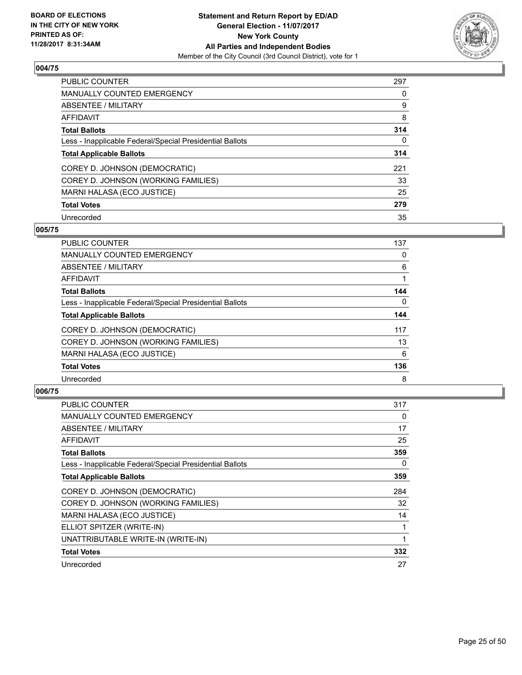

| <b>PUBLIC COUNTER</b>                                    | 297 |
|----------------------------------------------------------|-----|
| <b>MANUALLY COUNTED EMERGENCY</b>                        | 0   |
| ABSENTEE / MILITARY                                      | 9   |
| AFFIDAVIT                                                | 8   |
| <b>Total Ballots</b>                                     | 314 |
| Less - Inapplicable Federal/Special Presidential Ballots | 0   |
| <b>Total Applicable Ballots</b>                          | 314 |
| COREY D. JOHNSON (DEMOCRATIC)                            | 221 |
| COREY D. JOHNSON (WORKING FAMILIES)                      | 33  |
| MARNI HALASA (ECO JUSTICE)                               | 25  |
| <b>Total Votes</b>                                       | 279 |
| Unrecorded                                               | 35  |

## **005/75**

| <b>PUBLIC COUNTER</b>                                    | 137      |
|----------------------------------------------------------|----------|
| MANUALLY COUNTED EMERGENCY                               | 0        |
| ABSENTEE / MILITARY                                      | 6        |
| <b>AFFIDAVIT</b>                                         |          |
| <b>Total Ballots</b>                                     | 144      |
| Less - Inapplicable Federal/Special Presidential Ballots | $\Omega$ |
| <b>Total Applicable Ballots</b>                          | 144      |
| COREY D. JOHNSON (DEMOCRATIC)                            | 117      |
| COREY D. JOHNSON (WORKING FAMILIES)                      | 13       |
| MARNI HALASA (ECO JUSTICE)                               | 6        |
| <b>Total Votes</b>                                       | 136      |
| Unrecorded                                               | 8        |

| <b>PUBLIC COUNTER</b>                                    | 317 |
|----------------------------------------------------------|-----|
| <b>MANUALLY COUNTED EMERGENCY</b>                        | 0   |
| <b>ABSENTEE / MILITARY</b>                               | 17  |
| AFFIDAVIT                                                | 25  |
| <b>Total Ballots</b>                                     | 359 |
| Less - Inapplicable Federal/Special Presidential Ballots | 0   |
| <b>Total Applicable Ballots</b>                          | 359 |
| COREY D. JOHNSON (DEMOCRATIC)                            | 284 |
| COREY D. JOHNSON (WORKING FAMILIES)                      | 32  |
| MARNI HALASA (ECO JUSTICE)                               | 14  |
| ELLIOT SPITZER (WRITE-IN)                                | 1   |
| UNATTRIBUTABLE WRITE-IN (WRITE-IN)                       | 1   |
| <b>Total Votes</b>                                       | 332 |
|                                                          |     |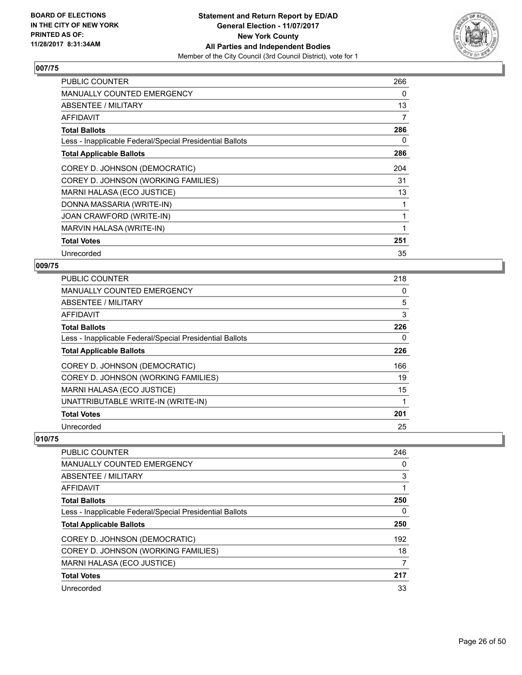

| <b>PUBLIC COUNTER</b>                                    | 266 |
|----------------------------------------------------------|-----|
| <b>MANUALLY COUNTED EMERGENCY</b>                        | 0   |
| ABSENTEE / MILITARY                                      | 13  |
| <b>AFFIDAVIT</b>                                         | 7   |
| <b>Total Ballots</b>                                     | 286 |
| Less - Inapplicable Federal/Special Presidential Ballots | 0   |
| <b>Total Applicable Ballots</b>                          | 286 |
| COREY D. JOHNSON (DEMOCRATIC)                            | 204 |
| COREY D. JOHNSON (WORKING FAMILIES)                      | 31  |
| MARNI HALASA (ECO JUSTICE)                               | 13  |
| DONNA MASSARIA (WRITE-IN)                                |     |
| JOAN CRAWFORD (WRITE-IN)                                 | 1   |
| MARVIN HALASA (WRITE-IN)                                 | 1   |
| <b>Total Votes</b>                                       | 251 |
| Unrecorded                                               | 35  |

# **009/75**

| <b>PUBLIC COUNTER</b>                                    | 218 |
|----------------------------------------------------------|-----|
| MANUALLY COUNTED EMERGENCY                               | 0   |
| ABSENTEE / MILITARY                                      | 5   |
| AFFIDAVIT                                                | 3   |
| <b>Total Ballots</b>                                     | 226 |
| Less - Inapplicable Federal/Special Presidential Ballots | 0   |
| <b>Total Applicable Ballots</b>                          | 226 |
| COREY D. JOHNSON (DEMOCRATIC)                            | 166 |
| COREY D. JOHNSON (WORKING FAMILIES)                      | 19  |
| MARNI HALASA (ECO JUSTICE)                               | 15  |
| UNATTRIBUTABLE WRITE-IN (WRITE-IN)                       | 1   |
| <b>Total Votes</b>                                       | 201 |
| Unrecorded                                               | 25  |

| <b>PUBLIC COUNTER</b>                                    | 246 |
|----------------------------------------------------------|-----|
| MANUALLY COUNTED EMERGENCY                               | 0   |
| ABSENTEE / MILITARY                                      | 3   |
| AFFIDAVIT                                                |     |
| <b>Total Ballots</b>                                     | 250 |
| Less - Inapplicable Federal/Special Presidential Ballots | 0   |
| <b>Total Applicable Ballots</b>                          | 250 |
| COREY D. JOHNSON (DEMOCRATIC)                            | 192 |
| COREY D. JOHNSON (WORKING FAMILIES)                      | 18  |
| MARNI HALASA (ECO JUSTICE)                               | 7   |
| <b>Total Votes</b>                                       | 217 |
| Unrecorded                                               | 33  |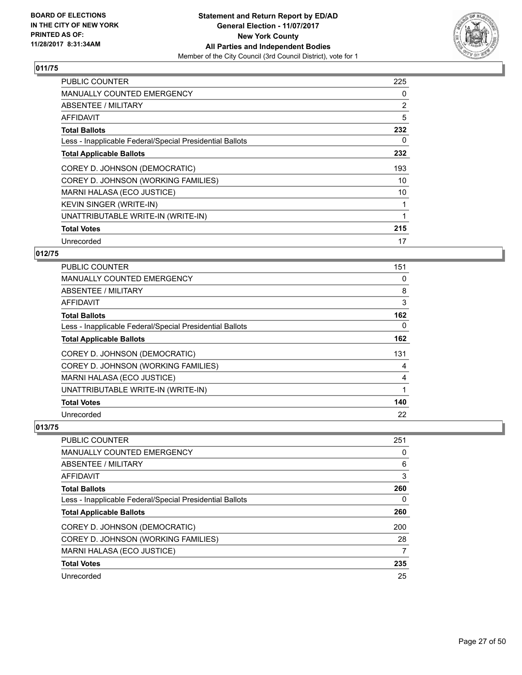

| <b>PUBLIC COUNTER</b>                                    | 225 |
|----------------------------------------------------------|-----|
| <b>MANUALLY COUNTED EMERGENCY</b>                        | 0   |
| <b>ABSENTEE / MILITARY</b>                               | 2   |
| AFFIDAVIT                                                | 5   |
| <b>Total Ballots</b>                                     | 232 |
| Less - Inapplicable Federal/Special Presidential Ballots | 0   |
| <b>Total Applicable Ballots</b>                          | 232 |
| COREY D. JOHNSON (DEMOCRATIC)                            | 193 |
| COREY D. JOHNSON (WORKING FAMILIES)                      | 10  |
| MARNI HALASA (ECO JUSTICE)                               | 10  |
| <b>KEVIN SINGER (WRITE-IN)</b>                           | 1   |
| UNATTRIBUTABLE WRITE-IN (WRITE-IN)                       |     |
| <b>Total Votes</b>                                       | 215 |
| Unrecorded                                               | 17  |

# **012/75**

| PUBLIC COUNTER                                           | 151 |
|----------------------------------------------------------|-----|
| <b>MANUALLY COUNTED EMERGENCY</b>                        | 0   |
| ABSENTEE / MILITARY                                      | 8   |
| AFFIDAVIT                                                | 3   |
| <b>Total Ballots</b>                                     | 162 |
| Less - Inapplicable Federal/Special Presidential Ballots | 0   |
| <b>Total Applicable Ballots</b>                          | 162 |
| COREY D. JOHNSON (DEMOCRATIC)                            | 131 |
| COREY D. JOHNSON (WORKING FAMILIES)                      | 4   |
| MARNI HALASA (ECO JUSTICE)                               | 4   |
| UNATTRIBUTABLE WRITE-IN (WRITE-IN)                       | 1   |
| <b>Total Votes</b>                                       | 140 |
| Unrecorded                                               | 22  |

| PUBLIC COUNTER                                           | 251 |
|----------------------------------------------------------|-----|
| <b>MANUALLY COUNTED EMERGENCY</b>                        | 0   |
| ABSENTEE / MILITARY                                      | 6   |
| AFFIDAVIT                                                | 3   |
| <b>Total Ballots</b>                                     | 260 |
| Less - Inapplicable Federal/Special Presidential Ballots | 0   |
| <b>Total Applicable Ballots</b>                          | 260 |
| COREY D. JOHNSON (DEMOCRATIC)                            | 200 |
| COREY D. JOHNSON (WORKING FAMILIES)                      | 28  |
| MARNI HALASA (ECO JUSTICE)                               | 7   |
| <b>Total Votes</b>                                       | 235 |
| Unrecorded                                               | 25  |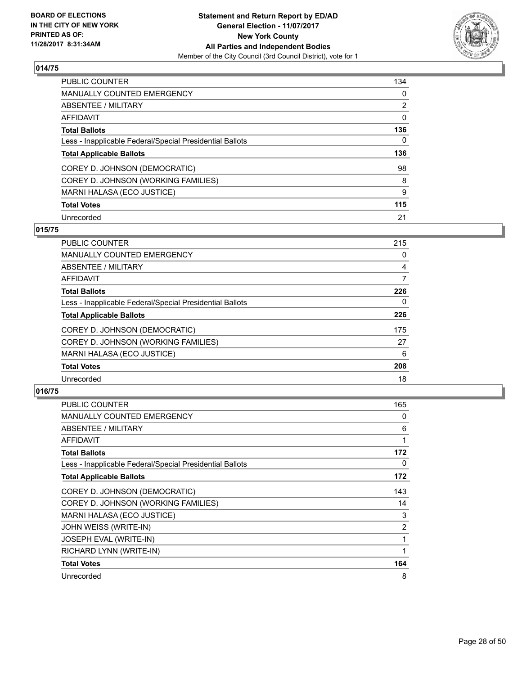

| <b>PUBLIC COUNTER</b>                                    | 134 |
|----------------------------------------------------------|-----|
| <b>MANUALLY COUNTED EMERGENCY</b>                        | 0   |
| ABSENTEE / MILITARY                                      | 2   |
| AFFIDAVIT                                                | 0   |
| <b>Total Ballots</b>                                     | 136 |
| Less - Inapplicable Federal/Special Presidential Ballots | 0   |
| <b>Total Applicable Ballots</b>                          | 136 |
| COREY D. JOHNSON (DEMOCRATIC)                            | 98  |
| COREY D. JOHNSON (WORKING FAMILIES)                      | 8   |
| MARNI HALASA (ECO JUSTICE)                               | 9   |
| <b>Total Votes</b>                                       | 115 |
| Unrecorded                                               | 21  |

#### **015/75**

| <b>PUBLIC COUNTER</b>                                    | 215 |
|----------------------------------------------------------|-----|
| MANUALLY COUNTED EMERGENCY                               | 0   |
| ABSENTEE / MILITARY                                      | 4   |
| <b>AFFIDAVIT</b>                                         | 7   |
| <b>Total Ballots</b>                                     | 226 |
| Less - Inapplicable Federal/Special Presidential Ballots | 0   |
| <b>Total Applicable Ballots</b>                          | 226 |
| COREY D. JOHNSON (DEMOCRATIC)                            | 175 |
| COREY D. JOHNSON (WORKING FAMILIES)                      | 27  |
| MARNI HALASA (ECO JUSTICE)                               | 6   |
| <b>Total Votes</b>                                       | 208 |
| Unrecorded                                               | 18  |

| <b>PUBLIC COUNTER</b>                                    | 165 |
|----------------------------------------------------------|-----|
| <b>MANUALLY COUNTED EMERGENCY</b>                        | 0   |
| ABSENTEE / MILITARY                                      | 6   |
| <b>AFFIDAVIT</b>                                         | 1   |
| <b>Total Ballots</b>                                     | 172 |
| Less - Inapplicable Federal/Special Presidential Ballots | 0   |
| <b>Total Applicable Ballots</b>                          | 172 |
| COREY D. JOHNSON (DEMOCRATIC)                            | 143 |
| COREY D. JOHNSON (WORKING FAMILIES)                      | 14  |
| MARNI HALASA (ECO JUSTICE)                               | 3   |
| JOHN WEISS (WRITE-IN)                                    | 2   |
| JOSEPH EVAL (WRITE-IN)                                   | 1   |
| RICHARD LYNN (WRITE-IN)                                  | 1   |
| <b>Total Votes</b>                                       | 164 |
| Unrecorded                                               | 8   |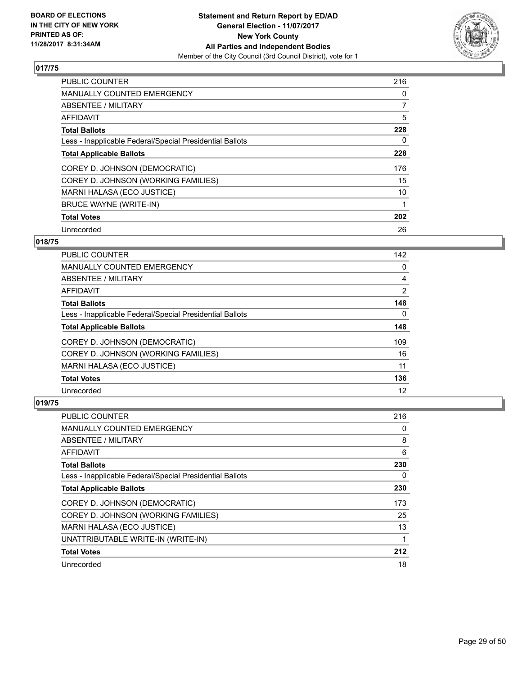

| <b>PUBLIC COUNTER</b>                                    | 216            |
|----------------------------------------------------------|----------------|
| <b>MANUALLY COUNTED EMERGENCY</b>                        | 0              |
| ABSENTEE / MILITARY                                      | $\overline{7}$ |
| <b>AFFIDAVIT</b>                                         | 5              |
| <b>Total Ballots</b>                                     | 228            |
| Less - Inapplicable Federal/Special Presidential Ballots | 0              |
| <b>Total Applicable Ballots</b>                          | 228            |
| COREY D. JOHNSON (DEMOCRATIC)                            | 176            |
| COREY D. JOHNSON (WORKING FAMILIES)                      | 15             |
| MARNI HALASA (ECO JUSTICE)                               | 10             |
| <b>BRUCE WAYNE (WRITE-IN)</b>                            |                |
| <b>Total Votes</b>                                       | 202            |
| Unrecorded                                               | 26             |

# **018/75**

| <b>PUBLIC COUNTER</b>                                    | 142 |
|----------------------------------------------------------|-----|
| <b>MANUALLY COUNTED EMERGENCY</b>                        | 0   |
| ABSENTEE / MILITARY                                      | 4   |
| AFFIDAVIT                                                | 2   |
| <b>Total Ballots</b>                                     | 148 |
| Less - Inapplicable Federal/Special Presidential Ballots | 0   |
| <b>Total Applicable Ballots</b>                          | 148 |
| COREY D. JOHNSON (DEMOCRATIC)                            | 109 |
| COREY D. JOHNSON (WORKING FAMILIES)                      | 16  |
| MARNI HALASA (ECO JUSTICE)                               | 11  |
| <b>Total Votes</b>                                       | 136 |
| Unrecorded                                               | 12  |

| <b>PUBLIC COUNTER</b>                                    | 216 |
|----------------------------------------------------------|-----|
| <b>MANUALLY COUNTED EMERGENCY</b>                        | 0   |
| ABSENTEE / MILITARY                                      | 8   |
| AFFIDAVIT                                                | 6   |
| <b>Total Ballots</b>                                     | 230 |
| Less - Inapplicable Federal/Special Presidential Ballots | 0   |
| <b>Total Applicable Ballots</b>                          | 230 |
| COREY D. JOHNSON (DEMOCRATIC)                            | 173 |
| COREY D. JOHNSON (WORKING FAMILIES)                      | 25  |
| MARNI HALASA (ECO JUSTICE)                               | 13  |
| UNATTRIBUTABLE WRITE-IN (WRITE-IN)                       | 1   |
| <b>Total Votes</b>                                       | 212 |
| Unrecorded                                               | 18  |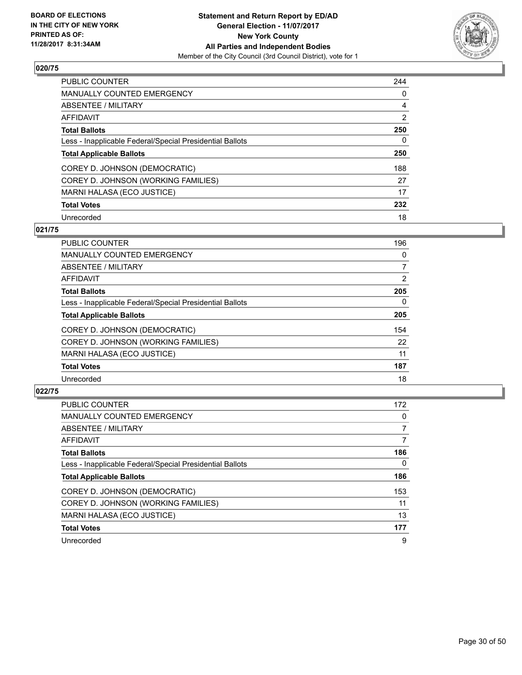

| <b>PUBLIC COUNTER</b>                                    | 244            |
|----------------------------------------------------------|----------------|
| <b>MANUALLY COUNTED EMERGENCY</b>                        | 0              |
| ABSENTEE / MILITARY                                      | 4              |
| AFFIDAVIT                                                | $\overline{2}$ |
| <b>Total Ballots</b>                                     | 250            |
| Less - Inapplicable Federal/Special Presidential Ballots | 0              |
| <b>Total Applicable Ballots</b>                          | 250            |
| COREY D. JOHNSON (DEMOCRATIC)                            | 188            |
| COREY D. JOHNSON (WORKING FAMILIES)                      | 27             |
| MARNI HALASA (ECO JUSTICE)                               | 17             |
| <b>Total Votes</b>                                       | 232            |
| Unrecorded                                               | 18             |

#### **021/75**

| <b>PUBLIC COUNTER</b>                                    | 196      |
|----------------------------------------------------------|----------|
| <b>MANUALLY COUNTED EMERGENCY</b>                        | 0        |
| ABSENTEE / MILITARY                                      | 7        |
| <b>AFFIDAVIT</b>                                         | 2        |
| <b>Total Ballots</b>                                     | 205      |
| Less - Inapplicable Federal/Special Presidential Ballots | $\Omega$ |
| <b>Total Applicable Ballots</b>                          | 205      |
| COREY D. JOHNSON (DEMOCRATIC)                            | 154      |
| COREY D. JOHNSON (WORKING FAMILIES)                      | 22       |
| MARNI HALASA (ECO JUSTICE)                               | 11       |
| <b>Total Votes</b>                                       | 187      |
| Unrecorded                                               | 18       |

| <b>PUBLIC COUNTER</b>                                    | 172 |
|----------------------------------------------------------|-----|
| <b>MANUALLY COUNTED EMERGENCY</b>                        | 0   |
| ABSENTEE / MILITARY                                      |     |
| <b>AFFIDAVIT</b>                                         | 7   |
| <b>Total Ballots</b>                                     | 186 |
| Less - Inapplicable Federal/Special Presidential Ballots | 0   |
| <b>Total Applicable Ballots</b>                          | 186 |
| COREY D. JOHNSON (DEMOCRATIC)                            | 153 |
| COREY D. JOHNSON (WORKING FAMILIES)                      | 11  |
| MARNI HALASA (ECO JUSTICE)                               | 13  |
| <b>Total Votes</b>                                       | 177 |
| Unrecorded                                               | 9   |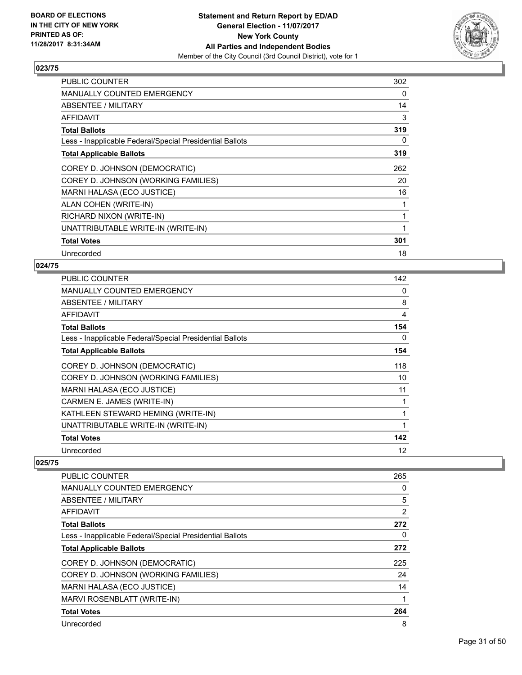

| <b>PUBLIC COUNTER</b>                                    | 302 |
|----------------------------------------------------------|-----|
| <b>MANUALLY COUNTED EMERGENCY</b>                        | 0   |
| <b>ABSENTEE / MILITARY</b>                               | 14  |
| <b>AFFIDAVIT</b>                                         | 3   |
| <b>Total Ballots</b>                                     | 319 |
| Less - Inapplicable Federal/Special Presidential Ballots | 0   |
| <b>Total Applicable Ballots</b>                          | 319 |
| COREY D. JOHNSON (DEMOCRATIC)                            | 262 |
| COREY D. JOHNSON (WORKING FAMILIES)                      | 20  |
| MARNI HALASA (ECO JUSTICE)                               | 16  |
| ALAN COHEN (WRITE-IN)                                    | 1   |
| RICHARD NIXON (WRITE-IN)                                 | 1   |
| UNATTRIBUTABLE WRITE-IN (WRITE-IN)                       | 1   |
| <b>Total Votes</b>                                       | 301 |
| Unrecorded                                               | 18  |

# **024/75**

| <b>PUBLIC COUNTER</b>                                    | 142 |
|----------------------------------------------------------|-----|
| MANUALLY COUNTED EMERGENCY                               | 0   |
| ABSENTEE / MILITARY                                      | 8   |
| AFFIDAVIT                                                | 4   |
| <b>Total Ballots</b>                                     | 154 |
| Less - Inapplicable Federal/Special Presidential Ballots | 0   |
| <b>Total Applicable Ballots</b>                          | 154 |
| COREY D. JOHNSON (DEMOCRATIC)                            | 118 |
| COREY D. JOHNSON (WORKING FAMILIES)                      | 10  |
| MARNI HALASA (ECO JUSTICE)                               | 11  |
| CARMEN E. JAMES (WRITE-IN)                               | 1   |
| KATHLEEN STEWARD HEMING (WRITE-IN)                       | 1   |
| UNATTRIBUTABLE WRITE-IN (WRITE-IN)                       | 1   |
| <b>Total Votes</b>                                       | 142 |
| Unrecorded                                               | 12  |
|                                                          |     |

| <b>PUBLIC COUNTER</b>                                    | 265            |
|----------------------------------------------------------|----------------|
| <b>MANUALLY COUNTED EMERGENCY</b>                        | 0              |
| ABSENTEE / MILITARY                                      | 5              |
| AFFIDAVIT                                                | $\overline{2}$ |
| <b>Total Ballots</b>                                     | 272            |
| Less - Inapplicable Federal/Special Presidential Ballots | 0              |
| <b>Total Applicable Ballots</b>                          | 272            |
| COREY D. JOHNSON (DEMOCRATIC)                            | 225            |
| COREY D. JOHNSON (WORKING FAMILIES)                      | 24             |
| MARNI HALASA (ECO JUSTICE)                               | 14             |
| MARVI ROSENBLATT (WRITE-IN)                              | 1              |
| <b>Total Votes</b>                                       | 264            |
| Unrecorded                                               | 8              |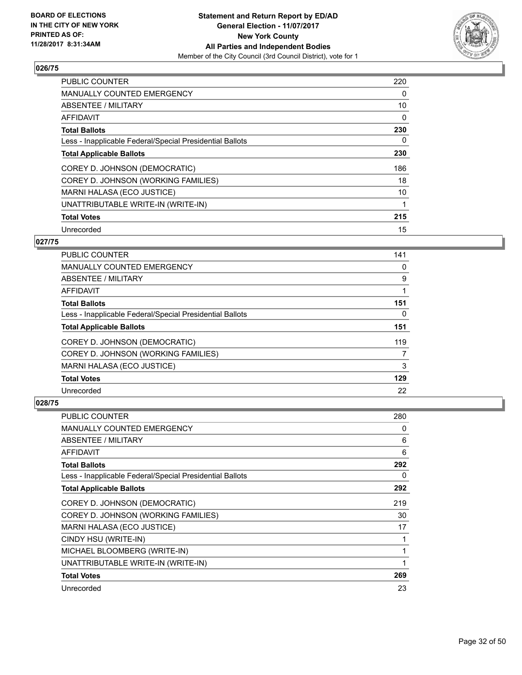

| <b>PUBLIC COUNTER</b>                                    | 220 |
|----------------------------------------------------------|-----|
| <b>MANUALLY COUNTED EMERGENCY</b>                        | 0   |
| ABSENTEE / MILITARY                                      | 10  |
| AFFIDAVIT                                                | 0   |
| <b>Total Ballots</b>                                     | 230 |
| Less - Inapplicable Federal/Special Presidential Ballots | 0   |
| <b>Total Applicable Ballots</b>                          | 230 |
| COREY D. JOHNSON (DEMOCRATIC)                            | 186 |
| COREY D. JOHNSON (WORKING FAMILIES)                      | 18  |
| MARNI HALASA (ECO JUSTICE)                               | 10  |
| UNATTRIBUTABLE WRITE-IN (WRITE-IN)                       | 1   |
| <b>Total Votes</b>                                       | 215 |
| Unrecorded                                               | 15  |

# **027/75**

| PUBLIC COUNTER                                           | 141 |
|----------------------------------------------------------|-----|
| <b>MANUALLY COUNTED EMERGENCY</b>                        | 0   |
| ABSENTEE / MILITARY                                      | 9   |
| AFFIDAVIT                                                |     |
| <b>Total Ballots</b>                                     | 151 |
| Less - Inapplicable Federal/Special Presidential Ballots | 0   |
| <b>Total Applicable Ballots</b>                          | 151 |
| COREY D. JOHNSON (DEMOCRATIC)                            | 119 |
| COREY D. JOHNSON (WORKING FAMILIES)                      | 7   |
| <b>MARNI HALASA (ECO JUSTICE)</b>                        | 3   |
| <b>Total Votes</b>                                       | 129 |
| Unrecorded                                               | 22  |

| PUBLIC COUNTER                                           | 280 |
|----------------------------------------------------------|-----|
| <b>MANUALLY COUNTED EMERGENCY</b>                        | 0   |
| ABSENTEE / MILITARY                                      | 6   |
| AFFIDAVIT                                                | 6   |
| <b>Total Ballots</b>                                     | 292 |
| Less - Inapplicable Federal/Special Presidential Ballots | 0   |
| <b>Total Applicable Ballots</b>                          | 292 |
| COREY D. JOHNSON (DEMOCRATIC)                            | 219 |
| COREY D. JOHNSON (WORKING FAMILIES)                      | 30  |
| MARNI HALASA (ECO JUSTICE)                               | 17  |
| CINDY HSU (WRITE-IN)                                     | 1   |
| MICHAEL BLOOMBERG (WRITE-IN)                             | 1   |
| UNATTRIBUTABLE WRITE-IN (WRITE-IN)                       | 1   |
| <b>Total Votes</b>                                       | 269 |
| Unrecorded                                               | 23  |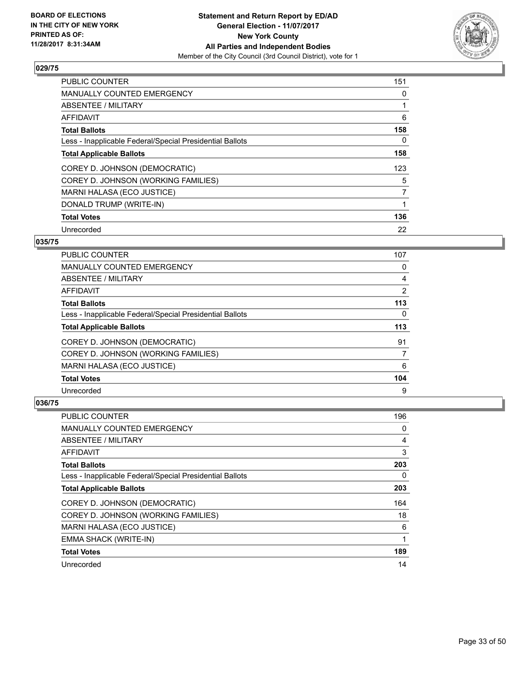

| <b>PUBLIC COUNTER</b>                                    | 151            |
|----------------------------------------------------------|----------------|
| <b>MANUALLY COUNTED EMERGENCY</b>                        | 0              |
| ABSENTEE / MILITARY                                      |                |
| <b>AFFIDAVIT</b>                                         | 6              |
| <b>Total Ballots</b>                                     | 158            |
| Less - Inapplicable Federal/Special Presidential Ballots | 0              |
| <b>Total Applicable Ballots</b>                          | 158            |
| COREY D. JOHNSON (DEMOCRATIC)                            | 123            |
| COREY D. JOHNSON (WORKING FAMILIES)                      | 5              |
| MARNI HALASA (ECO JUSTICE)                               | $\overline{7}$ |
| DONALD TRUMP (WRITE-IN)                                  |                |
| <b>Total Votes</b>                                       | 136            |
| Unrecorded                                               | 22             |

# **035/75**

| <b>PUBLIC COUNTER</b>                                    | 107 |
|----------------------------------------------------------|-----|
| <b>MANUALLY COUNTED EMERGENCY</b>                        | 0   |
| ABSENTEE / MILITARY                                      | 4   |
| AFFIDAVIT                                                | 2   |
| <b>Total Ballots</b>                                     | 113 |
| Less - Inapplicable Federal/Special Presidential Ballots | 0   |
| <b>Total Applicable Ballots</b>                          | 113 |
| COREY D. JOHNSON (DEMOCRATIC)                            | 91  |
| COREY D. JOHNSON (WORKING FAMILIES)                      | 7   |
| MARNI HALASA (ECO JUSTICE)                               | 6   |
| <b>Total Votes</b>                                       | 104 |
| Unrecorded                                               | 9   |

| <b>PUBLIC COUNTER</b>                                    | 196 |
|----------------------------------------------------------|-----|
| <b>MANUALLY COUNTED EMERGENCY</b>                        | 0   |
| ABSENTEE / MILITARY                                      | 4   |
| AFFIDAVIT                                                | 3   |
| <b>Total Ballots</b>                                     | 203 |
| Less - Inapplicable Federal/Special Presidential Ballots | 0   |
| <b>Total Applicable Ballots</b>                          | 203 |
| COREY D. JOHNSON (DEMOCRATIC)                            | 164 |
| COREY D. JOHNSON (WORKING FAMILIES)                      | 18  |
| MARNI HALASA (ECO JUSTICE)                               | 6   |
| EMMA SHACK (WRITE-IN)                                    |     |
| <b>Total Votes</b>                                       | 189 |
| Unrecorded                                               | 14  |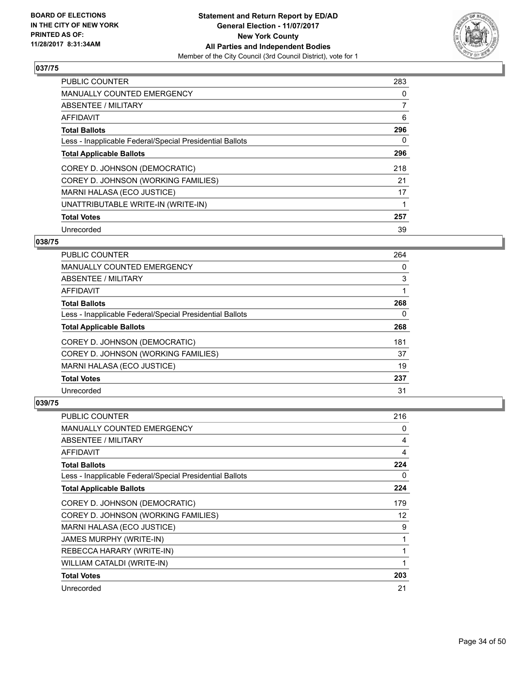

| <b>PUBLIC COUNTER</b>                                    | 283            |
|----------------------------------------------------------|----------------|
| <b>MANUALLY COUNTED EMERGENCY</b>                        | 0              |
| ABSENTEE / MILITARY                                      | $\overline{7}$ |
| <b>AFFIDAVIT</b>                                         | 6              |
| <b>Total Ballots</b>                                     | 296            |
| Less - Inapplicable Federal/Special Presidential Ballots | 0              |
| <b>Total Applicable Ballots</b>                          | 296            |
| COREY D. JOHNSON (DEMOCRATIC)                            | 218            |
| COREY D. JOHNSON (WORKING FAMILIES)                      | 21             |
| <b>MARNI HALASA (ECO JUSTICE)</b>                        | 17             |
| UNATTRIBUTABLE WRITE-IN (WRITE-IN)                       |                |
| <b>Total Votes</b>                                       | 257            |
| Unrecorded                                               | 39             |

# **038/75**

| <b>PUBLIC COUNTER</b>                                    | 264 |
|----------------------------------------------------------|-----|
| <b>MANUALLY COUNTED EMERGENCY</b>                        | 0   |
| ABSENTEE / MILITARY                                      | 3   |
| AFFIDAVIT                                                |     |
| <b>Total Ballots</b>                                     | 268 |
| Less - Inapplicable Federal/Special Presidential Ballots | 0   |
| <b>Total Applicable Ballots</b>                          | 268 |
| COREY D. JOHNSON (DEMOCRATIC)                            | 181 |
| COREY D. JOHNSON (WORKING FAMILIES)                      | 37  |
| MARNI HALASA (ECO JUSTICE)                               | 19  |
| <b>Total Votes</b>                                       | 237 |
| Unrecorded                                               | 31  |

| <b>PUBLIC COUNTER</b>                                    | 216               |
|----------------------------------------------------------|-------------------|
| <b>MANUALLY COUNTED EMERGENCY</b>                        | 0                 |
| ABSENTEE / MILITARY                                      | 4                 |
| AFFIDAVIT                                                | 4                 |
| <b>Total Ballots</b>                                     | 224               |
| Less - Inapplicable Federal/Special Presidential Ballots | 0                 |
| <b>Total Applicable Ballots</b>                          | 224               |
| COREY D. JOHNSON (DEMOCRATIC)                            | 179               |
| COREY D. JOHNSON (WORKING FAMILIES)                      | $12 \overline{ }$ |
| MARNI HALASA (ECO JUSTICE)                               | 9                 |
| <b>JAMES MURPHY (WRITE-IN)</b>                           | 1                 |
| REBECCA HARARY (WRITE-IN)                                | 1                 |
| WILLIAM CATALDI (WRITE-IN)                               | 1                 |
| <b>Total Votes</b>                                       | 203               |
| Unrecorded                                               | 21                |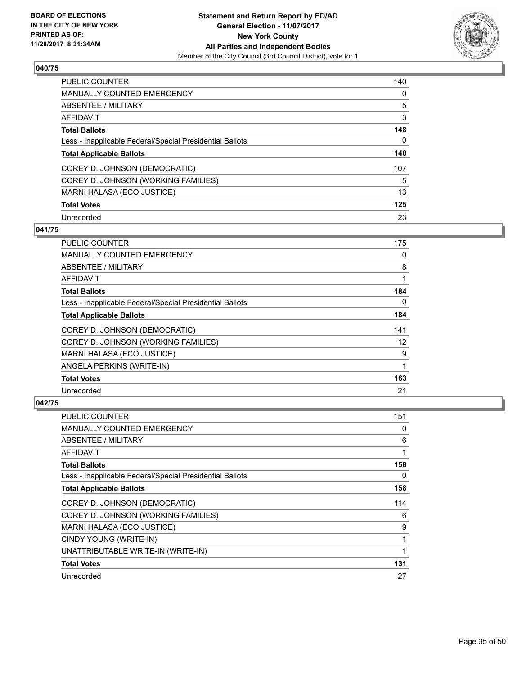

| <b>PUBLIC COUNTER</b>                                    | 140 |
|----------------------------------------------------------|-----|
| <b>MANUALLY COUNTED EMERGENCY</b>                        | 0   |
| ABSENTEE / MILITARY                                      | 5   |
| AFFIDAVIT                                                | 3   |
| <b>Total Ballots</b>                                     | 148 |
| Less - Inapplicable Federal/Special Presidential Ballots | 0   |
| <b>Total Applicable Ballots</b>                          | 148 |
| COREY D. JOHNSON (DEMOCRATIC)                            | 107 |
| COREY D. JOHNSON (WORKING FAMILIES)                      | 5   |
| MARNI HALASA (ECO JUSTICE)                               | 13  |
| <b>Total Votes</b>                                       | 125 |
| Unrecorded                                               | 23  |

## **041/75**

| <b>PUBLIC COUNTER</b>                                    | 175 |
|----------------------------------------------------------|-----|
| <b>MANUALLY COUNTED EMERGENCY</b>                        | 0   |
| ABSENTEE / MILITARY                                      | 8   |
| AFFIDAVIT                                                | 1   |
| <b>Total Ballots</b>                                     | 184 |
| Less - Inapplicable Federal/Special Presidential Ballots | 0   |
| <b>Total Applicable Ballots</b>                          | 184 |
| COREY D. JOHNSON (DEMOCRATIC)                            | 141 |
| COREY D. JOHNSON (WORKING FAMILIES)                      | 12  |
| MARNI HALASA (ECO JUSTICE)                               | 9   |
| ANGELA PERKINS (WRITE-IN)                                | 1   |
| <b>Total Votes</b>                                       | 163 |
| Unrecorded                                               | 21  |

| <b>PUBLIC COUNTER</b>                                    | 151 |
|----------------------------------------------------------|-----|
| <b>MANUALLY COUNTED EMERGENCY</b>                        | 0   |
| ABSENTEE / MILITARY                                      | 6   |
| AFFIDAVIT                                                | 1   |
| <b>Total Ballots</b>                                     | 158 |
| Less - Inapplicable Federal/Special Presidential Ballots | 0   |
| <b>Total Applicable Ballots</b>                          | 158 |
| COREY D. JOHNSON (DEMOCRATIC)                            | 114 |
| COREY D. JOHNSON (WORKING FAMILIES)                      | 6   |
| MARNI HALASA (ECO JUSTICE)                               | 9   |
| CINDY YOUNG (WRITE-IN)                                   | 1   |
| UNATTRIBUTABLE WRITE-IN (WRITE-IN)                       | 1   |
| <b>Total Votes</b>                                       | 131 |
| Unrecorded                                               | 27  |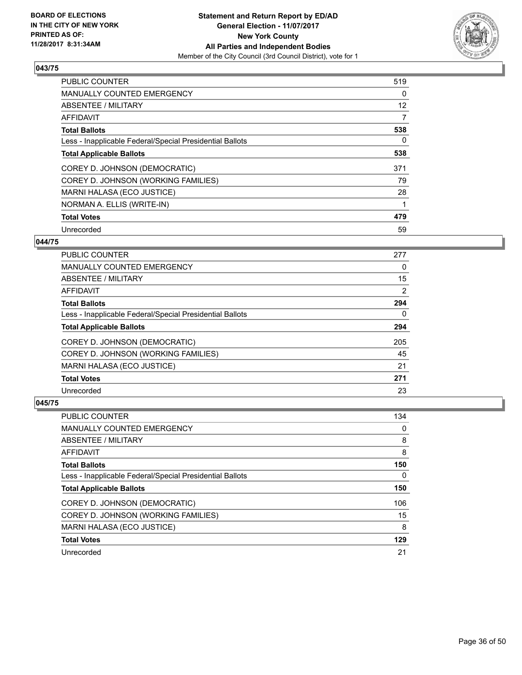

| <b>PUBLIC COUNTER</b>                                    | 519 |
|----------------------------------------------------------|-----|
| <b>MANUALLY COUNTED EMERGENCY</b>                        | 0   |
| ABSENTEE / MILITARY                                      | 12  |
| <b>AFFIDAVIT</b>                                         | 7   |
| <b>Total Ballots</b>                                     | 538 |
| Less - Inapplicable Federal/Special Presidential Ballots | 0   |
| <b>Total Applicable Ballots</b>                          | 538 |
| COREY D. JOHNSON (DEMOCRATIC)                            | 371 |
| COREY D. JOHNSON (WORKING FAMILIES)                      | 79  |
| MARNI HALASA (ECO JUSTICE)                               | 28  |
| NORMAN A. ELLIS (WRITE-IN)                               |     |
| <b>Total Votes</b>                                       | 479 |
| Unrecorded                                               | 59  |

# **044/75**

| <b>PUBLIC COUNTER</b>                                    | 277 |
|----------------------------------------------------------|-----|
| <b>MANUALLY COUNTED EMERGENCY</b>                        | 0   |
| ABSENTEE / MILITARY                                      | 15  |
| AFFIDAVIT                                                | 2   |
| <b>Total Ballots</b>                                     | 294 |
| Less - Inapplicable Federal/Special Presidential Ballots | 0   |
| <b>Total Applicable Ballots</b>                          | 294 |
| COREY D. JOHNSON (DEMOCRATIC)                            | 205 |
| COREY D. JOHNSON (WORKING FAMILIES)                      | 45  |
| MARNI HALASA (ECO JUSTICE)                               | 21  |
| <b>Total Votes</b>                                       | 271 |
| Unrecorded                                               | 23  |

| <b>PUBLIC COUNTER</b>                                    | 134 |
|----------------------------------------------------------|-----|
| <b>MANUALLY COUNTED EMERGENCY</b>                        | 0   |
| ABSENTEE / MILITARY                                      | 8   |
| AFFIDAVIT                                                | 8   |
| <b>Total Ballots</b>                                     | 150 |
| Less - Inapplicable Federal/Special Presidential Ballots | 0   |
| <b>Total Applicable Ballots</b>                          | 150 |
|                                                          |     |
| COREY D. JOHNSON (DEMOCRATIC)                            | 106 |
| COREY D. JOHNSON (WORKING FAMILIES)                      | 15  |
| MARNI HALASA (ECO JUSTICE)                               | 8   |
| <b>Total Votes</b>                                       | 129 |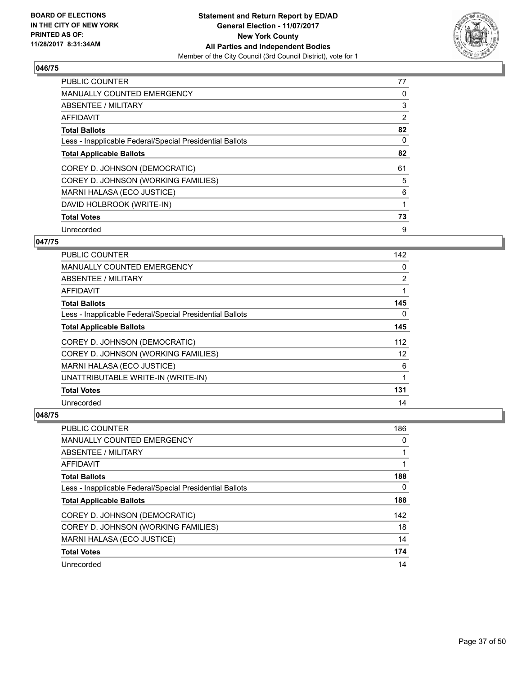

| <b>PUBLIC COUNTER</b>                                    | 77 |
|----------------------------------------------------------|----|
| <b>MANUALLY COUNTED EMERGENCY</b>                        | 0  |
| ABSENTEE / MILITARY                                      | 3  |
| AFFIDAVIT                                                | 2  |
| <b>Total Ballots</b>                                     | 82 |
| Less - Inapplicable Federal/Special Presidential Ballots | 0  |
| <b>Total Applicable Ballots</b>                          | 82 |
| COREY D. JOHNSON (DEMOCRATIC)                            | 61 |
| COREY D. JOHNSON (WORKING FAMILIES)                      | 5  |
| <b>MARNI HALASA (ECO JUSTICE)</b>                        | 6  |
| DAVID HOLBROOK (WRITE-IN)                                | 1  |
| <b>Total Votes</b>                                       | 73 |
| Unrecorded                                               | 9  |

# **047/75**

| <b>PUBLIC COUNTER</b>                                    | 142 |
|----------------------------------------------------------|-----|
| MANUALLY COUNTED EMERGENCY                               | 0   |
| ABSENTEE / MILITARY                                      | 2   |
| AFFIDAVIT                                                | 1   |
| <b>Total Ballots</b>                                     | 145 |
| Less - Inapplicable Federal/Special Presidential Ballots | 0   |
| <b>Total Applicable Ballots</b>                          | 145 |
| COREY D. JOHNSON (DEMOCRATIC)                            | 112 |
| COREY D. JOHNSON (WORKING FAMILIES)                      | 12  |
| MARNI HALASA (ECO JUSTICE)                               | 6   |
| UNATTRIBUTABLE WRITE-IN (WRITE-IN)                       | 1   |
| <b>Total Votes</b>                                       | 131 |
| Unrecorded                                               | 14  |

| <b>PUBLIC COUNTER</b>                                    | 186 |
|----------------------------------------------------------|-----|
| <b>MANUALLY COUNTED EMERGENCY</b>                        | 0   |
| ABSENTEE / MILITARY                                      |     |
| AFFIDAVIT                                                |     |
| <b>Total Ballots</b>                                     | 188 |
| Less - Inapplicable Federal/Special Presidential Ballots | 0   |
| <b>Total Applicable Ballots</b>                          | 188 |
| COREY D. JOHNSON (DEMOCRATIC)                            | 142 |
| COREY D. JOHNSON (WORKING FAMILIES)                      | 18  |
| MARNI HALASA (ECO JUSTICE)                               | 14  |
| <b>Total Votes</b>                                       | 174 |
| Unrecorded                                               | 14  |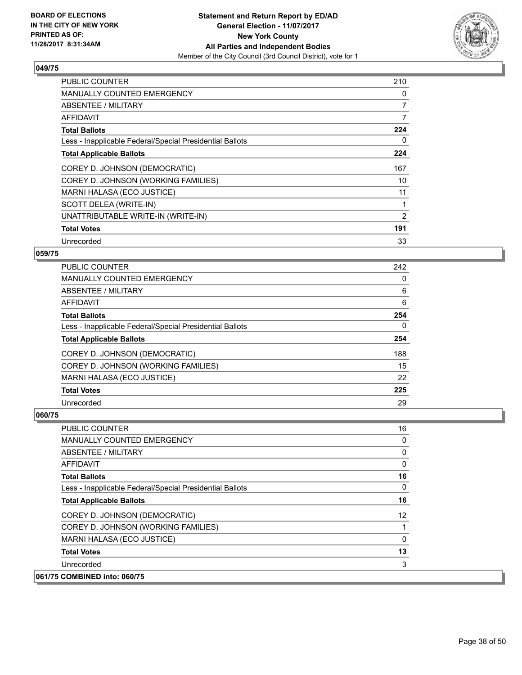

| <b>PUBLIC COUNTER</b>                                    | 210            |
|----------------------------------------------------------|----------------|
| <b>MANUALLY COUNTED EMERGENCY</b>                        | 0              |
| <b>ABSENTEE / MILITARY</b>                               | $\overline{7}$ |
| AFFIDAVIT                                                | 7              |
| <b>Total Ballots</b>                                     | 224            |
| Less - Inapplicable Federal/Special Presidential Ballots | 0              |
| <b>Total Applicable Ballots</b>                          | 224            |
| COREY D. JOHNSON (DEMOCRATIC)                            | 167            |
| COREY D. JOHNSON (WORKING FAMILIES)                      | 10             |
| MARNI HALASA (ECO JUSTICE)                               | 11             |
| SCOTT DELEA (WRITE-IN)                                   |                |
| UNATTRIBUTABLE WRITE-IN (WRITE-IN)                       | 2              |
| <b>Total Votes</b>                                       | 191            |
| Unrecorded                                               | 33             |

# **059/75**

| PUBLIC COUNTER                                           | 242 |
|----------------------------------------------------------|-----|
| <b>MANUALLY COUNTED EMERGENCY</b>                        | 0   |
| ABSENTEE / MILITARY                                      | 6   |
| AFFIDAVIT                                                | 6   |
| <b>Total Ballots</b>                                     | 254 |
| Less - Inapplicable Federal/Special Presidential Ballots | 0   |
| <b>Total Applicable Ballots</b>                          | 254 |
| COREY D. JOHNSON (DEMOCRATIC)                            | 188 |
| COREY D. JOHNSON (WORKING FAMILIES)                      | 15  |
| MARNI HALASA (ECO JUSTICE)                               | 22  |
| <b>Total Votes</b>                                       | 225 |
| Unrecorded                                               | 29  |

| <b>PUBLIC COUNTER</b>                                    | 16 |
|----------------------------------------------------------|----|
| <b>MANUALLY COUNTED EMERGENCY</b>                        | 0  |
| ABSENTEE / MILITARY                                      | 0  |
| AFFIDAVIT                                                | 0  |
| <b>Total Ballots</b>                                     | 16 |
| Less - Inapplicable Federal/Special Presidential Ballots | 0  |
| <b>Total Applicable Ballots</b>                          | 16 |
| COREY D. JOHNSON (DEMOCRATIC)                            | 12 |
| COREY D. JOHNSON (WORKING FAMILIES)                      |    |
| MARNI HALASA (ECO JUSTICE)                               | 0  |
| <b>Total Votes</b>                                       | 13 |
| Unrecorded                                               | 3  |
| 061/75 COMBINED into: 060/75                             |    |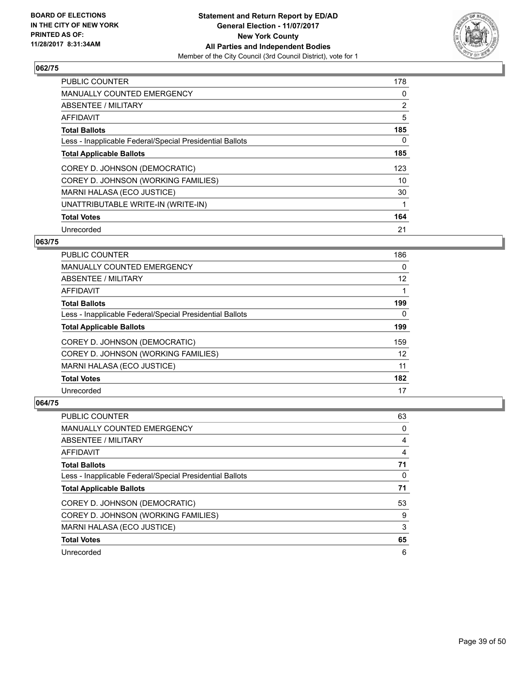

| <b>PUBLIC COUNTER</b>                                    | 178 |
|----------------------------------------------------------|-----|
| <b>MANUALLY COUNTED EMERGENCY</b>                        | 0   |
| ABSENTEE / MILITARY                                      | 2   |
| <b>AFFIDAVIT</b>                                         | 5   |
| <b>Total Ballots</b>                                     | 185 |
| Less - Inapplicable Federal/Special Presidential Ballots | 0   |
| <b>Total Applicable Ballots</b>                          | 185 |
| COREY D. JOHNSON (DEMOCRATIC)                            | 123 |
| COREY D. JOHNSON (WORKING FAMILIES)                      | 10  |
| <b>MARNI HALASA (ECO JUSTICE)</b>                        | 30  |
| UNATTRIBUTABLE WRITE-IN (WRITE-IN)                       | 1   |
| <b>Total Votes</b>                                       | 164 |
| Unrecorded                                               | 21  |

## **063/75**

| <b>PUBLIC COUNTER</b>                                    | 186 |
|----------------------------------------------------------|-----|
| <b>MANUALLY COUNTED EMERGENCY</b>                        | 0   |
| ABSENTEE / MILITARY                                      | 12  |
| AFFIDAVIT                                                |     |
| <b>Total Ballots</b>                                     | 199 |
| Less - Inapplicable Federal/Special Presidential Ballots | 0   |
| <b>Total Applicable Ballots</b>                          | 199 |
| COREY D. JOHNSON (DEMOCRATIC)                            | 159 |
| COREY D. JOHNSON (WORKING FAMILIES)                      | 12  |
| MARNI HALASA (ECO JUSTICE)                               | 11  |
| <b>Total Votes</b>                                       | 182 |
| Unrecorded                                               | 17  |

| <b>PUBLIC COUNTER</b>                                    | 63 |
|----------------------------------------------------------|----|
| <b>MANUALLY COUNTED EMERGENCY</b>                        | 0  |
| ABSENTEE / MILITARY                                      | 4  |
| AFFIDAVIT                                                | 4  |
| <b>Total Ballots</b>                                     | 71 |
| Less - Inapplicable Federal/Special Presidential Ballots | 0  |
| <b>Total Applicable Ballots</b>                          | 71 |
| COREY D. JOHNSON (DEMOCRATIC)                            | 53 |
| COREY D. JOHNSON (WORKING FAMILIES)                      | 9  |
| MARNI HALASA (ECO JUSTICE)                               | 3  |
| <b>Total Votes</b>                                       | 65 |
| Unrecorded                                               | 6  |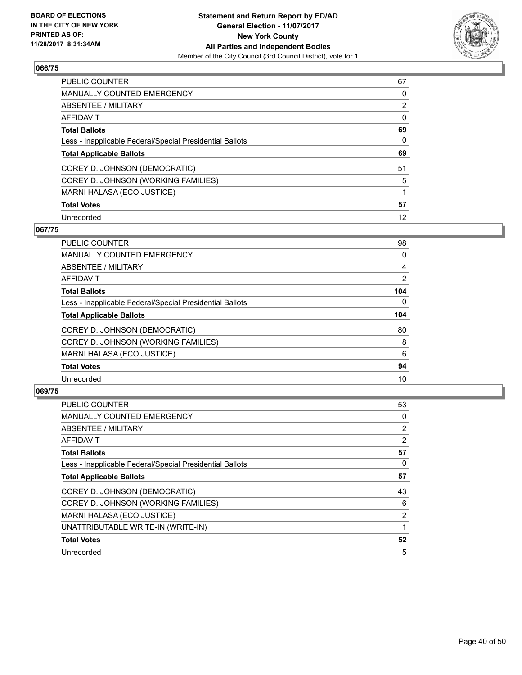

| <b>PUBLIC COUNTER</b>                                    | 67 |
|----------------------------------------------------------|----|
| <b>MANUALLY COUNTED EMERGENCY</b>                        | 0  |
| ABSENTEE / MILITARY                                      | 2  |
| AFFIDAVIT                                                | 0  |
| <b>Total Ballots</b>                                     | 69 |
| Less - Inapplicable Federal/Special Presidential Ballots | 0  |
| <b>Total Applicable Ballots</b>                          | 69 |
| COREY D. JOHNSON (DEMOCRATIC)                            | 51 |
| COREY D. JOHNSON (WORKING FAMILIES)                      | 5  |
| MARNI HALASA (ECO JUSTICE)                               |    |
| <b>Total Votes</b>                                       | 57 |
| Unrecorded                                               | 12 |

## **067/75**

| <b>PUBLIC COUNTER</b>                                    | 98       |
|----------------------------------------------------------|----------|
| <b>MANUALLY COUNTED EMERGENCY</b>                        | 0        |
| ABSENTEE / MILITARY                                      | 4        |
| <b>AFFIDAVIT</b>                                         | 2        |
| <b>Total Ballots</b>                                     | 104      |
| Less - Inapplicable Federal/Special Presidential Ballots | $\Omega$ |
| <b>Total Applicable Ballots</b>                          | 104      |
| COREY D. JOHNSON (DEMOCRATIC)                            | 80       |
| COREY D. JOHNSON (WORKING FAMILIES)                      | 8        |
| MARNI HALASA (ECO JUSTICE)                               | 6        |
| <b>Total Votes</b>                                       | 94       |
| Unrecorded                                               | 10       |

| <b>PUBLIC COUNTER</b>                                    | 53 |
|----------------------------------------------------------|----|
| <b>MANUALLY COUNTED EMERGENCY</b>                        | 0  |
| ABSENTEE / MILITARY                                      | 2  |
| AFFIDAVIT                                                | 2  |
| <b>Total Ballots</b>                                     | 57 |
| Less - Inapplicable Federal/Special Presidential Ballots | 0  |
| <b>Total Applicable Ballots</b>                          | 57 |
| COREY D. JOHNSON (DEMOCRATIC)                            | 43 |
| COREY D. JOHNSON (WORKING FAMILIES)                      | 6  |
| MARNI HALASA (ECO JUSTICE)                               | 2  |
| UNATTRIBUTABLE WRITE-IN (WRITE-IN)                       |    |
| <b>Total Votes</b>                                       | 52 |
| Unrecorded                                               | 5  |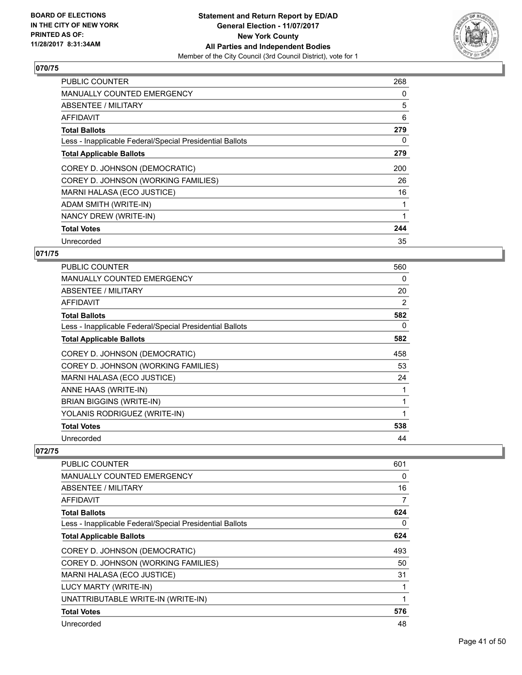

| <b>PUBLIC COUNTER</b>                                    | 268 |
|----------------------------------------------------------|-----|
| <b>MANUALLY COUNTED EMERGENCY</b>                        | 0   |
| <b>ABSENTEE / MILITARY</b>                               | 5   |
| AFFIDAVIT                                                | 6   |
| <b>Total Ballots</b>                                     | 279 |
| Less - Inapplicable Federal/Special Presidential Ballots | 0   |
| <b>Total Applicable Ballots</b>                          | 279 |
| COREY D. JOHNSON (DEMOCRATIC)                            | 200 |
| COREY D. JOHNSON (WORKING FAMILIES)                      | 26  |
| MARNI HALASA (ECO JUSTICE)                               | 16  |
| ADAM SMITH (WRITE-IN)                                    |     |
| NANCY DREW (WRITE-IN)                                    | 1   |
| <b>Total Votes</b>                                       | 244 |
| Unrecorded                                               | 35  |

# **071/75**

| <b>PUBLIC COUNTER</b>                                    | 560 |
|----------------------------------------------------------|-----|
| <b>MANUALLY COUNTED EMERGENCY</b>                        | 0   |
| ABSENTEE / MILITARY                                      | 20  |
| AFFIDAVIT                                                | 2   |
| <b>Total Ballots</b>                                     | 582 |
| Less - Inapplicable Federal/Special Presidential Ballots | 0   |
| <b>Total Applicable Ballots</b>                          | 582 |
| COREY D. JOHNSON (DEMOCRATIC)                            | 458 |
| COREY D. JOHNSON (WORKING FAMILIES)                      | 53  |
| MARNI HALASA (ECO JUSTICE)                               | 24  |
| ANNE HAAS (WRITE-IN)                                     |     |
| <b>BRIAN BIGGINS (WRITE-IN)</b>                          | 1   |
| YOLANIS RODRIGUEZ (WRITE-IN)                             | 1   |
| <b>Total Votes</b>                                       | 538 |
| Unrecorded                                               | 44  |

| PUBLIC COUNTER                                           | 601 |
|----------------------------------------------------------|-----|
| <b>MANUALLY COUNTED EMERGENCY</b>                        | 0   |
| ABSENTEE / MILITARY                                      | 16  |
| AFFIDAVIT                                                | 7   |
| <b>Total Ballots</b>                                     | 624 |
| Less - Inapplicable Federal/Special Presidential Ballots | 0   |
| <b>Total Applicable Ballots</b>                          | 624 |
| COREY D. JOHNSON (DEMOCRATIC)                            | 493 |
| COREY D. JOHNSON (WORKING FAMILIES)                      | 50  |
| MARNI HALASA (ECO JUSTICE)                               | 31  |
| LUCY MARTY (WRITE-IN)                                    |     |
| UNATTRIBUTABLE WRITE-IN (WRITE-IN)                       | 1   |
| <b>Total Votes</b>                                       | 576 |
| Unrecorded                                               | 48  |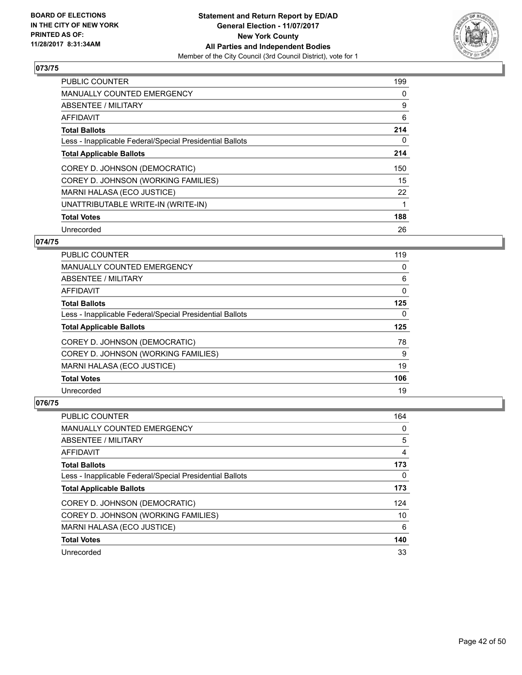

| <b>PUBLIC COUNTER</b>                                    | 199 |
|----------------------------------------------------------|-----|
| <b>MANUALLY COUNTED EMERGENCY</b>                        | 0   |
| ABSENTEE / MILITARY                                      | 9   |
| AFFIDAVIT                                                | 6   |
| <b>Total Ballots</b>                                     | 214 |
| Less - Inapplicable Federal/Special Presidential Ballots | 0   |
| <b>Total Applicable Ballots</b>                          | 214 |
| COREY D. JOHNSON (DEMOCRATIC)                            | 150 |
| COREY D. JOHNSON (WORKING FAMILIES)                      | 15  |
| MARNI HALASA (ECO JUSTICE)                               | 22  |
| UNATTRIBUTABLE WRITE-IN (WRITE-IN)                       | 1   |
| <b>Total Votes</b>                                       | 188 |
| Unrecorded                                               | 26  |

## **074/75**

| <b>PUBLIC COUNTER</b>                                    | 119 |
|----------------------------------------------------------|-----|
| <b>MANUALLY COUNTED EMERGENCY</b>                        | 0   |
| ABSENTEE / MILITARY                                      | 6   |
| AFFIDAVIT                                                | 0   |
| <b>Total Ballots</b>                                     | 125 |
| Less - Inapplicable Federal/Special Presidential Ballots | 0   |
| <b>Total Applicable Ballots</b>                          | 125 |
| COREY D. JOHNSON (DEMOCRATIC)                            | 78  |
| COREY D. JOHNSON (WORKING FAMILIES)                      | 9   |
| MARNI HALASA (ECO JUSTICE)                               | 19  |
| <b>Total Votes</b>                                       | 106 |
| Unrecorded                                               | 19  |

| <b>PUBLIC COUNTER</b>                                    | 164 |
|----------------------------------------------------------|-----|
| <b>MANUALLY COUNTED EMERGENCY</b>                        | 0   |
| ABSENTEE / MILITARY                                      | 5   |
| AFFIDAVIT                                                | 4   |
| <b>Total Ballots</b>                                     | 173 |
| Less - Inapplicable Federal/Special Presidential Ballots | 0   |
| <b>Total Applicable Ballots</b>                          | 173 |
| COREY D. JOHNSON (DEMOCRATIC)                            | 124 |
| COREY D. JOHNSON (WORKING FAMILIES)                      | 10  |
| MARNI HALASA (ECO JUSTICE)                               | 6   |
| <b>Total Votes</b>                                       | 140 |
| Unrecorded                                               | 33  |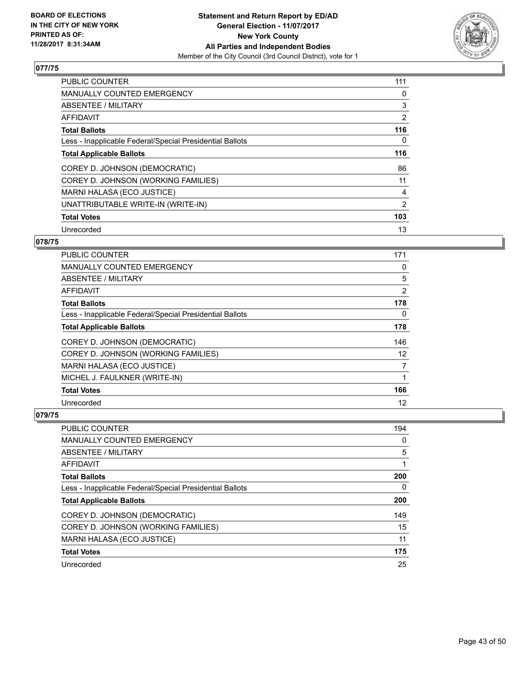

| <b>PUBLIC COUNTER</b>                                    | 111            |
|----------------------------------------------------------|----------------|
| <b>MANUALLY COUNTED EMERGENCY</b>                        | 0              |
| ABSENTEE / MILITARY                                      | 3              |
| <b>AFFIDAVIT</b>                                         | 2              |
| <b>Total Ballots</b>                                     | 116            |
| Less - Inapplicable Federal/Special Presidential Ballots | 0              |
| <b>Total Applicable Ballots</b>                          | 116            |
| COREY D. JOHNSON (DEMOCRATIC)                            | 86             |
| COREY D. JOHNSON (WORKING FAMILIES)                      | 11             |
| MARNI HALASA (ECO JUSTICE)                               | 4              |
| UNATTRIBUTABLE WRITE-IN (WRITE-IN)                       | $\overline{2}$ |
| <b>Total Votes</b>                                       | 103            |
| Unrecorded                                               | 13             |

# **078/75**

| <b>PUBLIC COUNTER</b>                                    | 171 |
|----------------------------------------------------------|-----|
| <b>MANUALLY COUNTED EMERGENCY</b>                        | 0   |
| ABSENTEE / MILITARY                                      | 5   |
| AFFIDAVIT                                                | 2   |
| <b>Total Ballots</b>                                     | 178 |
| Less - Inapplicable Federal/Special Presidential Ballots | 0   |
| <b>Total Applicable Ballots</b>                          | 178 |
| COREY D. JOHNSON (DEMOCRATIC)                            | 146 |
| COREY D. JOHNSON (WORKING FAMILIES)                      | 12  |
| MARNI HALASA (ECO JUSTICE)                               | 7   |
| MICHEL J. FAULKNER (WRITE-IN)                            |     |
| <b>Total Votes</b>                                       | 166 |
| Unrecorded                                               | 12  |

| <b>PUBLIC COUNTER</b>                                    | 194 |
|----------------------------------------------------------|-----|
| <b>MANUALLY COUNTED EMERGENCY</b>                        | 0   |
| ABSENTEE / MILITARY                                      | 5   |
| AFFIDAVIT                                                |     |
| <b>Total Ballots</b>                                     | 200 |
| Less - Inapplicable Federal/Special Presidential Ballots | 0   |
| <b>Total Applicable Ballots</b>                          | 200 |
| COREY D. JOHNSON (DEMOCRATIC)                            | 149 |
| COREY D. JOHNSON (WORKING FAMILIES)                      | 15  |
| MARNI HALASA (ECO JUSTICE)                               | 11  |
| <b>Total Votes</b>                                       | 175 |
|                                                          |     |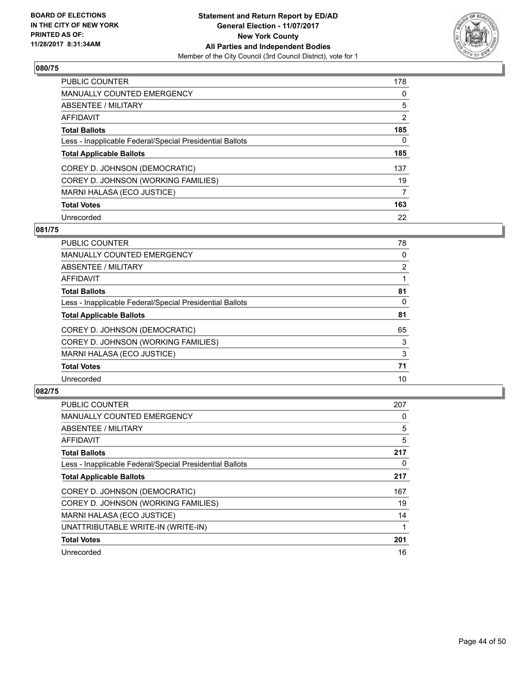

| <b>PUBLIC COUNTER</b>                                    | 178 |
|----------------------------------------------------------|-----|
| <b>MANUALLY COUNTED EMERGENCY</b>                        | 0   |
| ABSENTEE / MILITARY                                      | 5   |
| AFFIDAVIT                                                | 2   |
| <b>Total Ballots</b>                                     | 185 |
| Less - Inapplicable Federal/Special Presidential Ballots | 0   |
| <b>Total Applicable Ballots</b>                          | 185 |
| COREY D. JOHNSON (DEMOCRATIC)                            | 137 |
| COREY D. JOHNSON (WORKING FAMILIES)                      | 19  |
| MARNI HALASA (ECO JUSTICE)                               | 7   |
| <b>Total Votes</b>                                       | 163 |
| Unrecorded                                               | 22  |

## **081/75**

| <b>PUBLIC COUNTER</b>                                    | 78             |
|----------------------------------------------------------|----------------|
| <b>MANUALLY COUNTED EMERGENCY</b>                        | 0              |
| ABSENTEE / MILITARY                                      | $\overline{2}$ |
| <b>AFFIDAVIT</b>                                         |                |
| <b>Total Ballots</b>                                     | 81             |
| Less - Inapplicable Federal/Special Presidential Ballots | 0              |
| <b>Total Applicable Ballots</b>                          | 81             |
| COREY D. JOHNSON (DEMOCRATIC)                            | 65             |
| COREY D. JOHNSON (WORKING FAMILIES)                      | 3              |
| MARNI HALASA (ECO JUSTICE)                               | 3              |
| <b>Total Votes</b>                                       | 71             |
| Unrecorded                                               | 10             |

| <b>PUBLIC COUNTER</b>                                    | 207 |
|----------------------------------------------------------|-----|
| <b>MANUALLY COUNTED EMERGENCY</b>                        | 0   |
| ABSENTEE / MILITARY                                      | 5   |
| AFFIDAVIT                                                | 5   |
| <b>Total Ballots</b>                                     | 217 |
| Less - Inapplicable Federal/Special Presidential Ballots | 0   |
| <b>Total Applicable Ballots</b>                          | 217 |
| COREY D. JOHNSON (DEMOCRATIC)                            | 167 |
| COREY D. JOHNSON (WORKING FAMILIES)                      | 19  |
| MARNI HALASA (ECO JUSTICE)                               | 14  |
| UNATTRIBUTABLE WRITE-IN (WRITE-IN)                       |     |
| <b>Total Votes</b>                                       | 201 |
| Unrecorded                                               | 16  |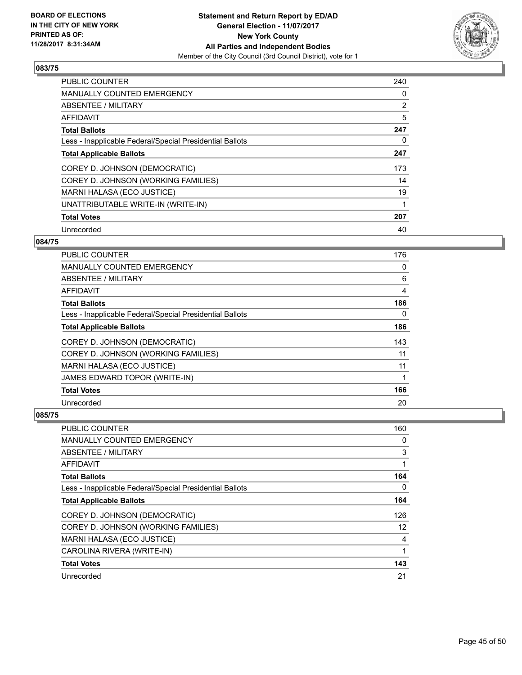

| <b>PUBLIC COUNTER</b>                                    | 240 |
|----------------------------------------------------------|-----|
| <b>MANUALLY COUNTED EMERGENCY</b>                        | 0   |
| ABSENTEE / MILITARY                                      | 2   |
| <b>AFFIDAVIT</b>                                         | 5   |
| <b>Total Ballots</b>                                     | 247 |
| Less - Inapplicable Federal/Special Presidential Ballots | 0   |
| <b>Total Applicable Ballots</b>                          | 247 |
| COREY D. JOHNSON (DEMOCRATIC)                            | 173 |
| COREY D. JOHNSON (WORKING FAMILIES)                      | 14  |
| MARNI HALASA (ECO JUSTICE)                               | 19  |
| UNATTRIBUTABLE WRITE-IN (WRITE-IN)                       | 1   |
| <b>Total Votes</b>                                       | 207 |
| Unrecorded                                               | 40  |

# **084/75**

| PUBLIC COUNTER                                           | 176 |
|----------------------------------------------------------|-----|
| <b>MANUALLY COUNTED EMERGENCY</b>                        | 0   |
| ABSENTEE / MILITARY                                      | 6   |
| AFFIDAVIT                                                | 4   |
| <b>Total Ballots</b>                                     | 186 |
| Less - Inapplicable Federal/Special Presidential Ballots | 0   |
| <b>Total Applicable Ballots</b>                          | 186 |
| COREY D. JOHNSON (DEMOCRATIC)                            | 143 |
| COREY D. JOHNSON (WORKING FAMILIES)                      | 11  |
| MARNI HALASA (ECO JUSTICE)                               | 11  |
| JAMES EDWARD TOPOR (WRITE-IN)                            |     |
| <b>Total Votes</b>                                       | 166 |
| Unrecorded                                               | 20  |

| PUBLIC COUNTER                                           | 160 |
|----------------------------------------------------------|-----|
| <b>MANUALLY COUNTED EMERGENCY</b>                        | 0   |
| ABSENTEE / MILITARY                                      | 3   |
| AFFIDAVIT                                                |     |
| <b>Total Ballots</b>                                     | 164 |
| Less - Inapplicable Federal/Special Presidential Ballots | 0   |
| <b>Total Applicable Ballots</b>                          | 164 |
| COREY D. JOHNSON (DEMOCRATIC)                            | 126 |
| COREY D. JOHNSON (WORKING FAMILIES)                      | 12  |
| MARNI HALASA (ECO JUSTICE)                               | 4   |
| CAROLINA RIVERA (WRITE-IN)                               | 1   |
| <b>Total Votes</b>                                       | 143 |
| Unrecorded                                               | 21  |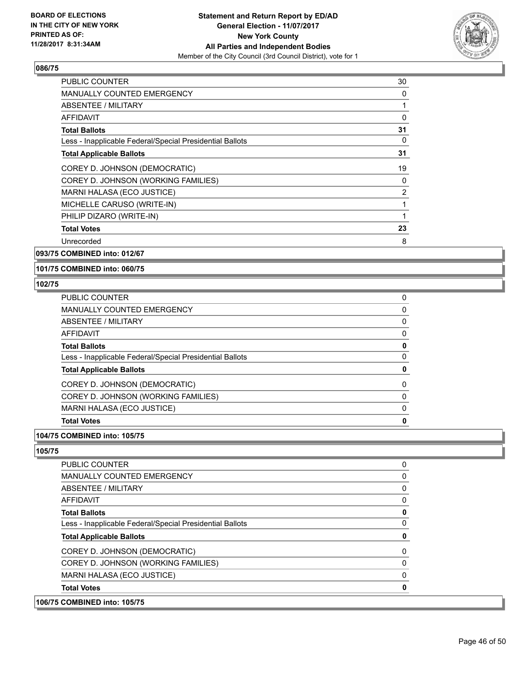

| <b>PUBLIC COUNTER</b>                                    | 30 |
|----------------------------------------------------------|----|
| <b>MANUALLY COUNTED EMERGENCY</b>                        | 0  |
| <b>ABSENTEE / MILITARY</b>                               | 1  |
| <b>AFFIDAVIT</b>                                         | 0  |
| <b>Total Ballots</b>                                     | 31 |
| Less - Inapplicable Federal/Special Presidential Ballots | 0  |
| <b>Total Applicable Ballots</b>                          | 31 |
| COREY D. JOHNSON (DEMOCRATIC)                            | 19 |
| COREY D. JOHNSON (WORKING FAMILIES)                      | 0  |
| MARNI HALASA (ECO JUSTICE)                               | 2  |
| MICHELLE CARUSO (WRITE-IN)                               | 1  |
| PHILIP DIZARO (WRITE-IN)                                 | 1  |
| <b>Total Votes</b>                                       | 23 |
| Unrecorded                                               | 8  |

**093/75 COMBINED into: 012/67**

**101/75 COMBINED into: 060/75**

#### **102/75**

| <b>Total Votes</b>                                       | 0 |
|----------------------------------------------------------|---|
| MARNI HALASA (ECO JUSTICE)                               | 0 |
| COREY D. JOHNSON (WORKING FAMILIES)                      | 0 |
| COREY D. JOHNSON (DEMOCRATIC)                            | 0 |
| <b>Total Applicable Ballots</b>                          | 0 |
| Less - Inapplicable Federal/Special Presidential Ballots | 0 |
| <b>Total Ballots</b>                                     | 0 |
| AFFIDAVIT                                                | 0 |
| <b>ABSENTEE / MILITARY</b>                               | 0 |
| <b>MANUALLY COUNTED EMERGENCY</b>                        | 0 |
| <b>PUBLIC COUNTER</b>                                    | 0 |

# **104/75 COMBINED into: 105/75**

**105/75** 

| <b>COMBINED into: 105/75</b>                             |   |
|----------------------------------------------------------|---|
| <b>Total Votes</b>                                       |   |
| MARNI HALASA (ECO JUSTICE)                               | 0 |
| COREY D. JOHNSON (WORKING FAMILIES)                      | 0 |
| COREY D. JOHNSON (DEMOCRATIC)                            | 0 |
| <b>Total Applicable Ballots</b>                          | 0 |
| Less - Inapplicable Federal/Special Presidential Ballots | 0 |
| <b>Total Ballots</b>                                     | 0 |
| AFFIDAVIT                                                | 0 |
| ABSENTEE / MILITARY                                      | 0 |
| <b>MANUALLY COUNTED EMERGENCY</b>                        | 0 |
| <b>PUBLIC COUNTER</b>                                    | 0 |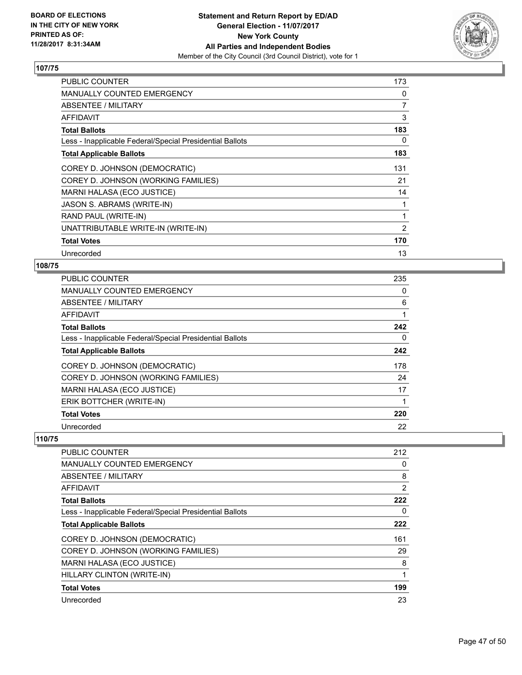

| <b>PUBLIC COUNTER</b>                                    | 173 |
|----------------------------------------------------------|-----|
| MANUALLY COUNTED EMERGENCY                               | 0   |
| ABSENTEE / MILITARY                                      | 7   |
| AFFIDAVIT                                                | 3   |
| <b>Total Ballots</b>                                     | 183 |
| Less - Inapplicable Federal/Special Presidential Ballots | 0   |
| <b>Total Applicable Ballots</b>                          | 183 |
| COREY D. JOHNSON (DEMOCRATIC)                            | 131 |
| COREY D. JOHNSON (WORKING FAMILIES)                      | 21  |
| MARNI HALASA (ECO JUSTICE)                               | 14  |
| JASON S. ABRAMS (WRITE-IN)                               | 1   |
| RAND PAUL (WRITE-IN)                                     | 1   |
| UNATTRIBUTABLE WRITE-IN (WRITE-IN)                       | 2   |
| <b>Total Votes</b>                                       | 170 |
| Unrecorded                                               | 13  |

# **108/75**

| <b>PUBLIC COUNTER</b>                                    | 235 |
|----------------------------------------------------------|-----|
| MANUALLY COUNTED EMERGENCY                               | 0   |
| ABSENTEE / MILITARY                                      | 6   |
| AFFIDAVIT                                                |     |
| <b>Total Ballots</b>                                     | 242 |
| Less - Inapplicable Federal/Special Presidential Ballots | 0   |
| <b>Total Applicable Ballots</b>                          | 242 |
| COREY D. JOHNSON (DEMOCRATIC)                            | 178 |
| COREY D. JOHNSON (WORKING FAMILIES)                      | 24  |
| MARNI HALASA (ECO JUSTICE)                               | 17  |
| ERIK BOTTCHER (WRITE-IN)                                 | 1   |
| <b>Total Votes</b>                                       | 220 |
| Unrecorded                                               | 22  |

| PUBLIC COUNTER                                           | 212            |
|----------------------------------------------------------|----------------|
| <b>MANUALLY COUNTED EMERGENCY</b>                        | 0              |
| ABSENTEE / MILITARY                                      | 8              |
| AFFIDAVIT                                                | $\overline{2}$ |
| <b>Total Ballots</b>                                     | 222            |
| Less - Inapplicable Federal/Special Presidential Ballots | 0              |
| <b>Total Applicable Ballots</b>                          | 222            |
| COREY D. JOHNSON (DEMOCRATIC)                            | 161            |
| COREY D. JOHNSON (WORKING FAMILIES)                      | 29             |
| MARNI HALASA (ECO JUSTICE)                               | 8              |
| HILLARY CLINTON (WRITE-IN)                               | 1              |
| <b>Total Votes</b>                                       | 199            |
| Unrecorded                                               | 23             |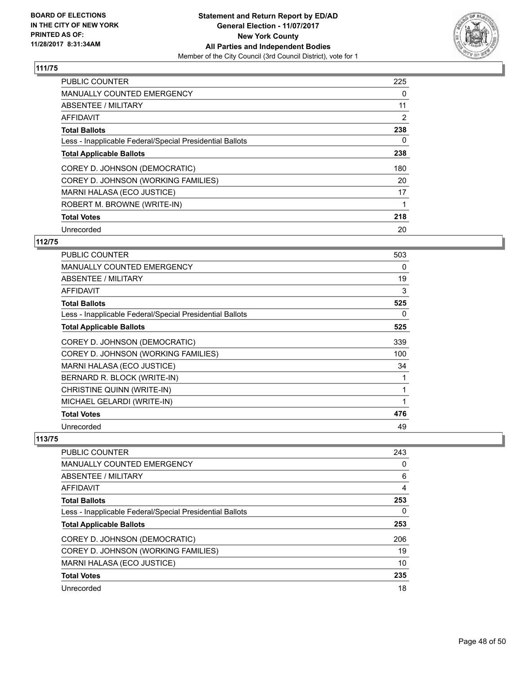

| <b>PUBLIC COUNTER</b>                                    | 225 |
|----------------------------------------------------------|-----|
| <b>MANUALLY COUNTED EMERGENCY</b>                        | 0   |
| ABSENTEE / MILITARY                                      | 11  |
| <b>AFFIDAVIT</b>                                         | 2   |
| <b>Total Ballots</b>                                     | 238 |
| Less - Inapplicable Federal/Special Presidential Ballots | 0   |
| <b>Total Applicable Ballots</b>                          | 238 |
| COREY D. JOHNSON (DEMOCRATIC)                            | 180 |
| COREY D. JOHNSON (WORKING FAMILIES)                      | 20  |
| MARNI HALASA (ECO JUSTICE)                               | 17  |
| ROBERT M. BROWNE (WRITE-IN)                              |     |
| <b>Total Votes</b>                                       | 218 |
| Unrecorded                                               | 20  |

# **112/75**

| <b>PUBLIC COUNTER</b>                                    | 503 |
|----------------------------------------------------------|-----|
| <b>MANUALLY COUNTED EMERGENCY</b>                        | 0   |
| ABSENTEE / MILITARY                                      | 19  |
| AFFIDAVIT                                                | 3   |
| <b>Total Ballots</b>                                     | 525 |
| Less - Inapplicable Federal/Special Presidential Ballots | 0   |
| <b>Total Applicable Ballots</b>                          | 525 |
| COREY D. JOHNSON (DEMOCRATIC)                            | 339 |
| COREY D. JOHNSON (WORKING FAMILIES)                      | 100 |
| MARNI HALASA (ECO JUSTICE)                               | 34  |
| BERNARD R. BLOCK (WRITE-IN)                              | 1   |
| CHRISTINE QUINN (WRITE-IN)                               | 1   |
| MICHAEL GELARDI (WRITE-IN)                               | 1   |
| <b>Total Votes</b>                                       | 476 |
| Unrecorded                                               | 49  |

| <b>PUBLIC COUNTER</b>                                    | 243 |
|----------------------------------------------------------|-----|
| <b>MANUALLY COUNTED EMERGENCY</b>                        | 0   |
| ABSENTEE / MILITARY                                      | 6   |
| AFFIDAVIT                                                | 4   |
| <b>Total Ballots</b>                                     | 253 |
| Less - Inapplicable Federal/Special Presidential Ballots | 0   |
| <b>Total Applicable Ballots</b>                          | 253 |
| COREY D. JOHNSON (DEMOCRATIC)                            | 206 |
| COREY D. JOHNSON (WORKING FAMILIES)                      | 19  |
| MARNI HALASA (ECO JUSTICE)                               | 10  |
| <b>Total Votes</b>                                       | 235 |
| Unrecorded                                               | 18  |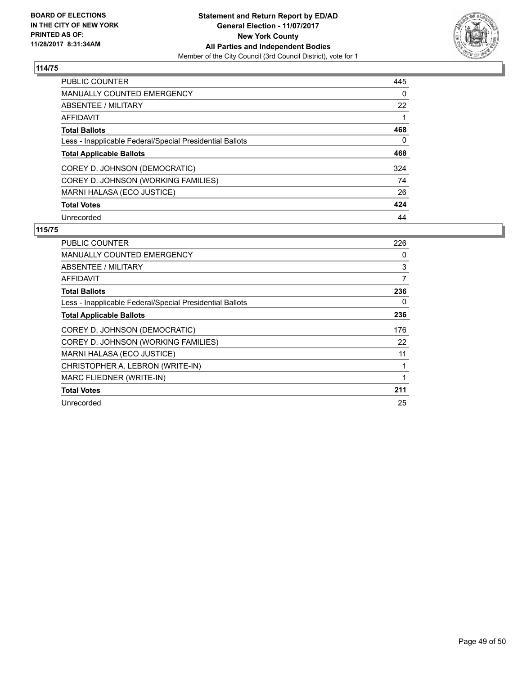

| <b>PUBLIC COUNTER</b>                                    | 445 |
|----------------------------------------------------------|-----|
| <b>MANUALLY COUNTED EMERGENCY</b>                        | 0   |
| ABSENTEE / MILITARY                                      | 22  |
| AFFIDAVIT                                                |     |
| <b>Total Ballots</b>                                     | 468 |
| Less - Inapplicable Federal/Special Presidential Ballots | 0   |
| <b>Total Applicable Ballots</b>                          | 468 |
| COREY D. JOHNSON (DEMOCRATIC)                            | 324 |
| COREY D. JOHNSON (WORKING FAMILIES)                      | 74  |
| MARNI HALASA (ECO JUSTICE)                               | 26  |
| <b>Total Votes</b>                                       | 424 |
| Unrecorded                                               | 44  |

| <b>PUBLIC COUNTER</b>                                    | 226            |
|----------------------------------------------------------|----------------|
| MANUALLY COUNTED EMERGENCY                               | 0              |
| ABSENTEE / MILITARY                                      | 3              |
| <b>AFFIDAVIT</b>                                         | $\overline{7}$ |
| <b>Total Ballots</b>                                     | 236            |
| Less - Inapplicable Federal/Special Presidential Ballots | 0              |
| <b>Total Applicable Ballots</b>                          | 236            |
| COREY D. JOHNSON (DEMOCRATIC)                            | 176            |
| COREY D. JOHNSON (WORKING FAMILIES)                      | 22             |
| MARNI HALASA (ECO JUSTICE)                               | 11             |
| CHRISTOPHER A. LEBRON (WRITE-IN)                         | 1              |
| MARC FLIEDNER (WRITE-IN)                                 | 1              |
| <b>Total Votes</b>                                       | 211            |
| Unrecorded                                               | 25             |